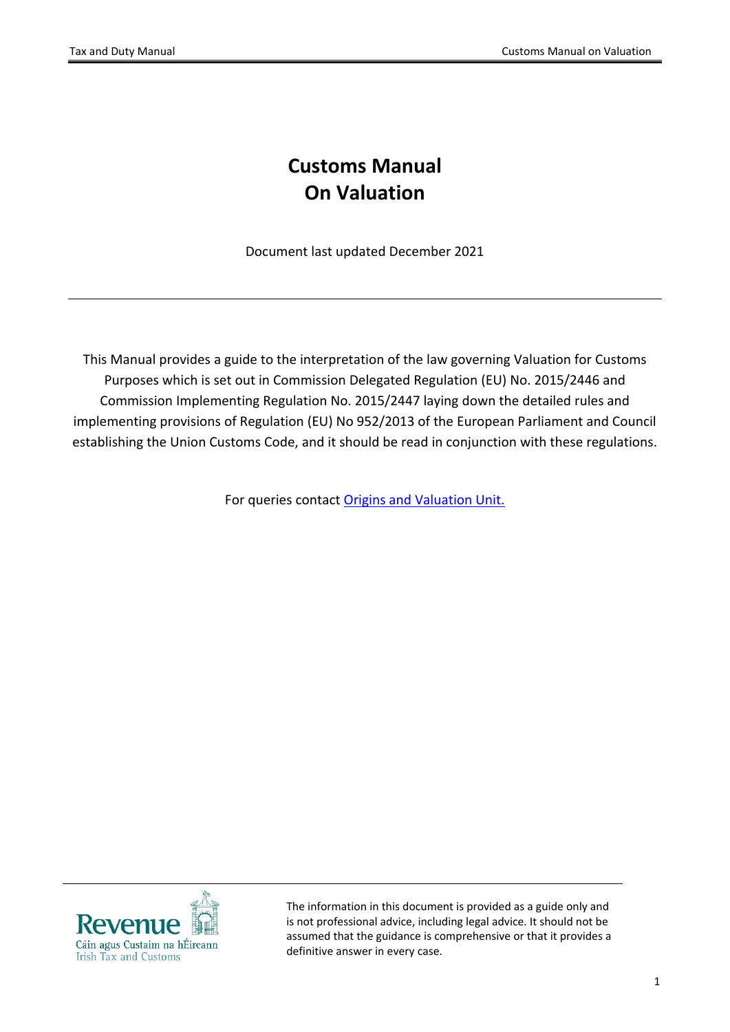# **Customs Manual On Valuation**

Document last updated December 2021

This Manual provides a guide to the interpretation of the law governing Valuation for Customs Purposes which is set out in Commission Delegated Regulation (EU) No. 2015/2446 and Commission Implementing Regulation No. 2015/2447 laying down the detailed rules and implementing provisions of Regulation (EU) No 952/2013 of the European Parliament and Council establishing the Union Customs Code, and it should be read in conjunction with these regulations.

For queries contact [Origins](https://www.revenue.ie/en/contact-us/customs-ports-and-airports/customs-policy-and-procedural-support.aspx) [and](https://www.revenue.ie/en/contact-us/customs-ports-and-airports/customs-policy-and-procedural-support.aspx) [Valuation](https://www.revenue.ie/en/contact-us/customs-ports-and-airports/customs-policy-and-procedural-support.aspx) [Unit.](https://www.revenue.ie/en/contact-us/customs-ports-and-airports/customs-policy-and-procedural-support.aspx)



The information in this document is provided as a guide only and is not professional advice, including legal advice. It should not be assumed that the guidance is comprehensive or that it provides a definitive answer in every case.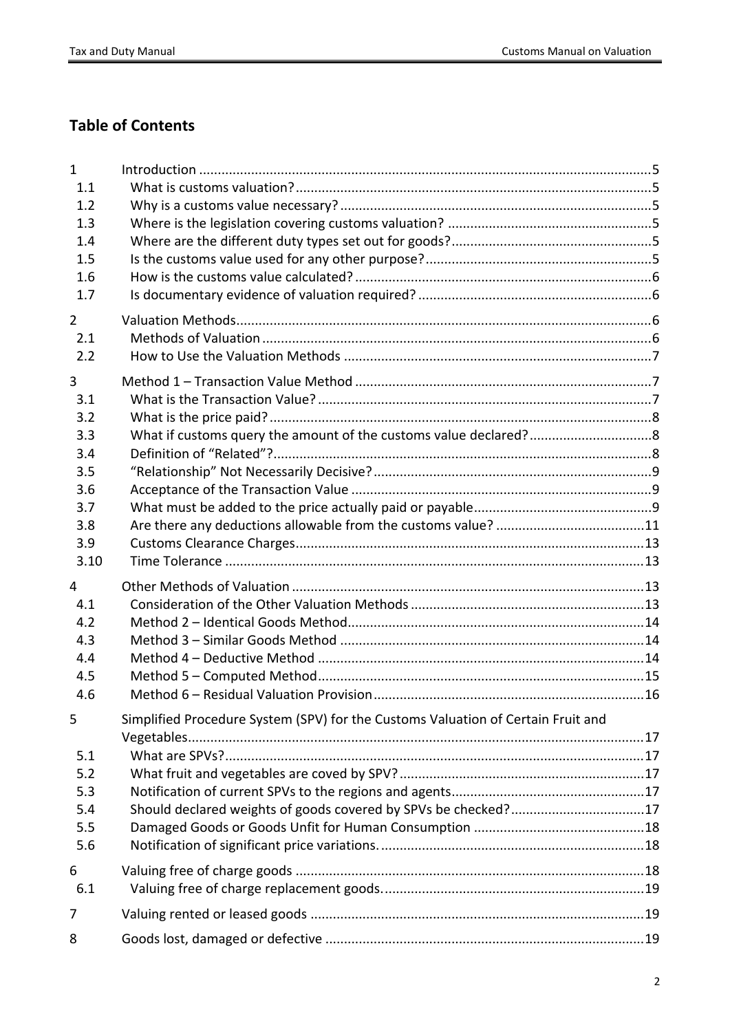# **Table of Contents**

| $\mathbf{1}$<br>1.1<br>1.2<br>1.3<br>1.4<br>1.5<br>1.6                   |                                                                                                                                                    |  |
|--------------------------------------------------------------------------|----------------------------------------------------------------------------------------------------------------------------------------------------|--|
| 1.7<br>$\overline{2}$<br>2.1<br>2.2                                      |                                                                                                                                                    |  |
| 3<br>3.1<br>3.2<br>3.3<br>3.4<br>3.5<br>3.6<br>3.7<br>3.8<br>3.9<br>3.10 |                                                                                                                                                    |  |
| 4<br>4.1<br>4.2<br>4.3<br>4.4<br>4.5<br>4.6                              |                                                                                                                                                    |  |
| 5<br>5.1<br>5.2<br>5.3<br>5.4<br>5.5<br>5.6                              | Simplified Procedure System (SPV) for the Customs Valuation of Certain Fruit and<br>Should declared weights of goods covered by SPVs be checked?17 |  |
| 6<br>6.1                                                                 |                                                                                                                                                    |  |
| 7                                                                        |                                                                                                                                                    |  |
| 8                                                                        |                                                                                                                                                    |  |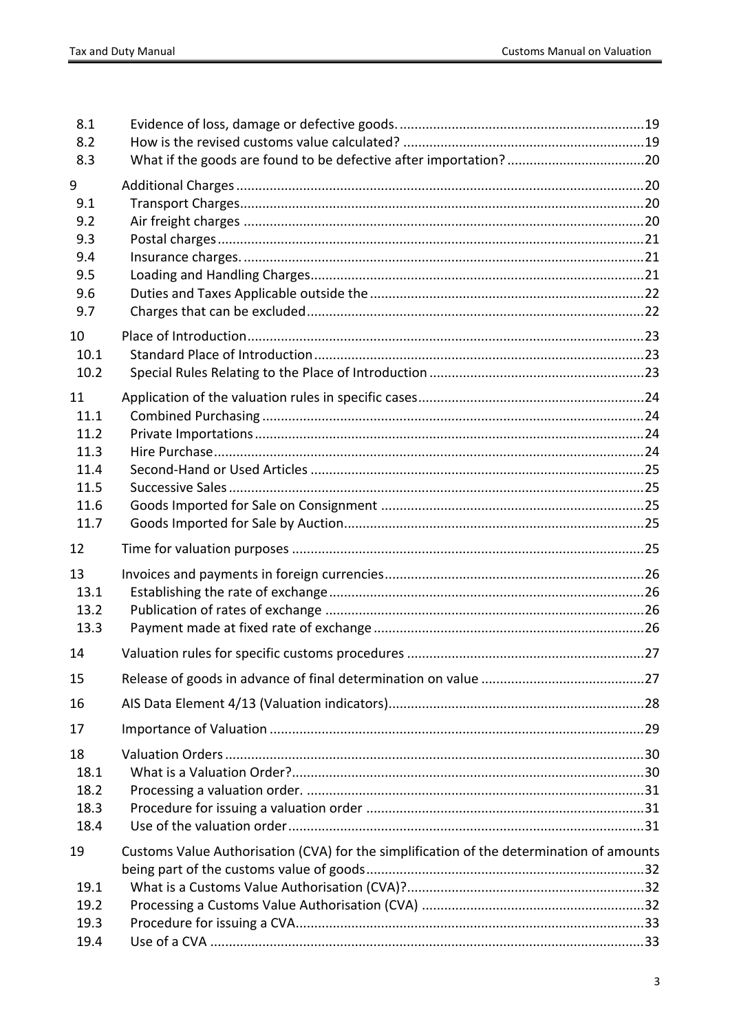| 8.1<br>8.2<br>8.3 |                                                                                          |  |
|-------------------|------------------------------------------------------------------------------------------|--|
| 9                 |                                                                                          |  |
| 9.1               |                                                                                          |  |
| 9.2               |                                                                                          |  |
| 9.3               |                                                                                          |  |
| 9.4               |                                                                                          |  |
| 9.5               |                                                                                          |  |
| 9.6               |                                                                                          |  |
| 9.7               |                                                                                          |  |
| 10                |                                                                                          |  |
| 10.1              |                                                                                          |  |
| 10.2              |                                                                                          |  |
| 11                |                                                                                          |  |
| 11.1              |                                                                                          |  |
| 11.2              |                                                                                          |  |
| 11.3              |                                                                                          |  |
| 11.4              |                                                                                          |  |
| 11.5              |                                                                                          |  |
| 11.6<br>11.7      |                                                                                          |  |
| 12                |                                                                                          |  |
| 13                |                                                                                          |  |
| 13.1              |                                                                                          |  |
| 13.2              |                                                                                          |  |
| 13.3              |                                                                                          |  |
| 14                |                                                                                          |  |
| 15                |                                                                                          |  |
| 16                |                                                                                          |  |
| 17                |                                                                                          |  |
| 18                |                                                                                          |  |
| 18.1              |                                                                                          |  |
| 18.2              |                                                                                          |  |
| 18.3              |                                                                                          |  |
| 18.4              |                                                                                          |  |
| 19                | Customs Value Authorisation (CVA) for the simplification of the determination of amounts |  |
|                   |                                                                                          |  |
| 19.1              |                                                                                          |  |
| 19.2              |                                                                                          |  |
| 19.3              |                                                                                          |  |
| 19.4              |                                                                                          |  |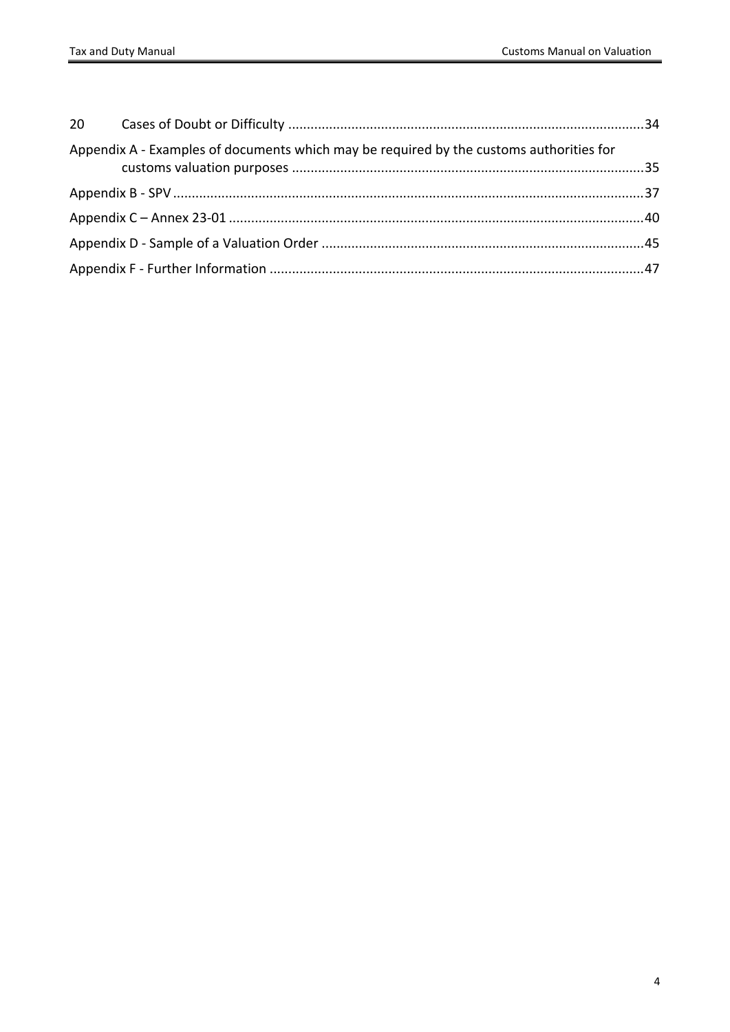| Appendix A - Examples of documents which may be required by the customs authorities for |  |
|-----------------------------------------------------------------------------------------|--|
|                                                                                         |  |
|                                                                                         |  |
|                                                                                         |  |
|                                                                                         |  |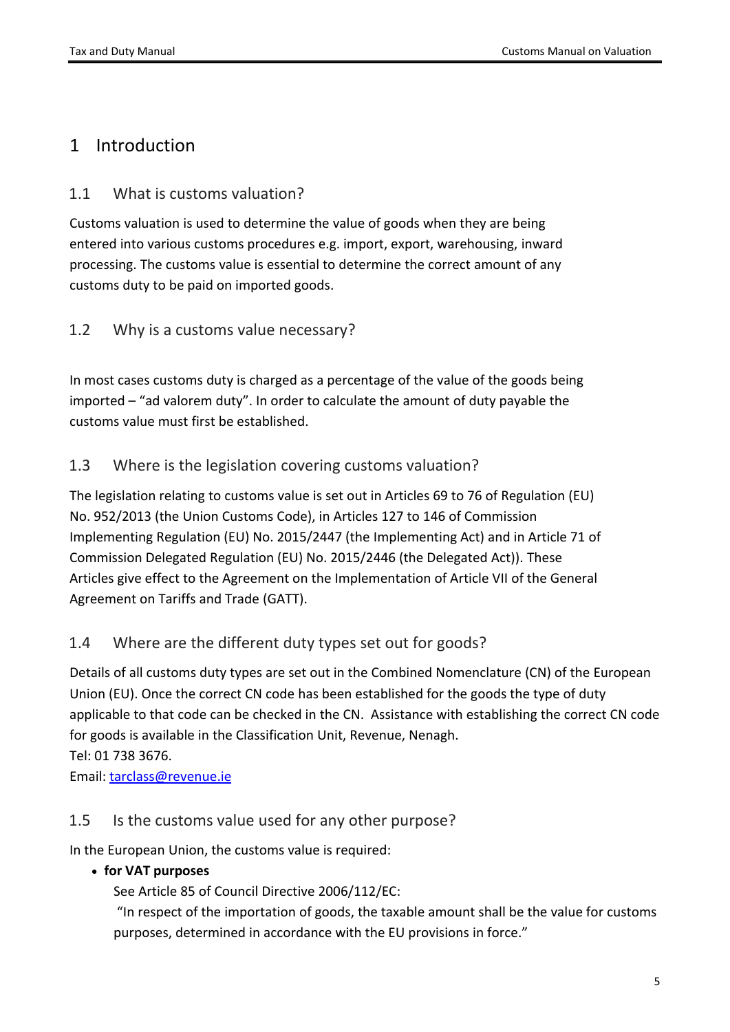## <span id="page-4-0"></span>1 Introduction

## <span id="page-4-1"></span>1.1 What is customs valuation?

Customs valuation is used to determine the value of goods when they are being entered into various customs procedures e.g. import, export, warehousing, inward processing. The customs value is essential to determine the correct amount of any customs duty to be paid on imported goods.

## <span id="page-4-2"></span>1.2 Why is a customs value necessary?

In most cases customs duty is charged as a percentage of the value of the goods being imported – "ad valorem duty". In order to calculate the amount of duty payable the customs value must first be established.

## <span id="page-4-3"></span>1.3 Where is the legislation covering customs valuation?

The legislation relating to customs value is set out in Articles 69 to 76 of Regulation (EU) No. 952/2013 (the Union Customs Code), in Articles 127 to 146 of Commission Implementing Regulation (EU) No. 2015/2447 (the Implementing Act) and in Article 71 of Commission Delegated Regulation (EU) No. 2015/2446 (the Delegated Act)). These Articles give effect to the Agreement on the Implementation of Article VII of the General Agreement on Tariffs and Trade (GATT).

## <span id="page-4-4"></span>1.4 Where are the different duty types set out for goods?

Details of all customs duty types are set out in the Combined Nomenclature (CN) of the European Union (EU). Once the correct CN code has been established for the goods the type of duty applicable to that code can be checked in the CN. Assistance with establishing the correct CN code for goods is available in the Classification Unit, Revenue, Nenagh. Tel: 01 738 3676.

<span id="page-4-5"></span>Email: [tarclass@revenue.ie](mailto:tarclass@revenue.ie)

## 1.5 Is the customs value used for any other purpose?

In the European Union, the customs value is required:

### **for VAT purposes**

See Article 85 of Council Directive 2006/112/EC:

"In respect of the importation of goods, the taxable amount shall be the value for customs purposes, determined in accordance with the EU provisions in force."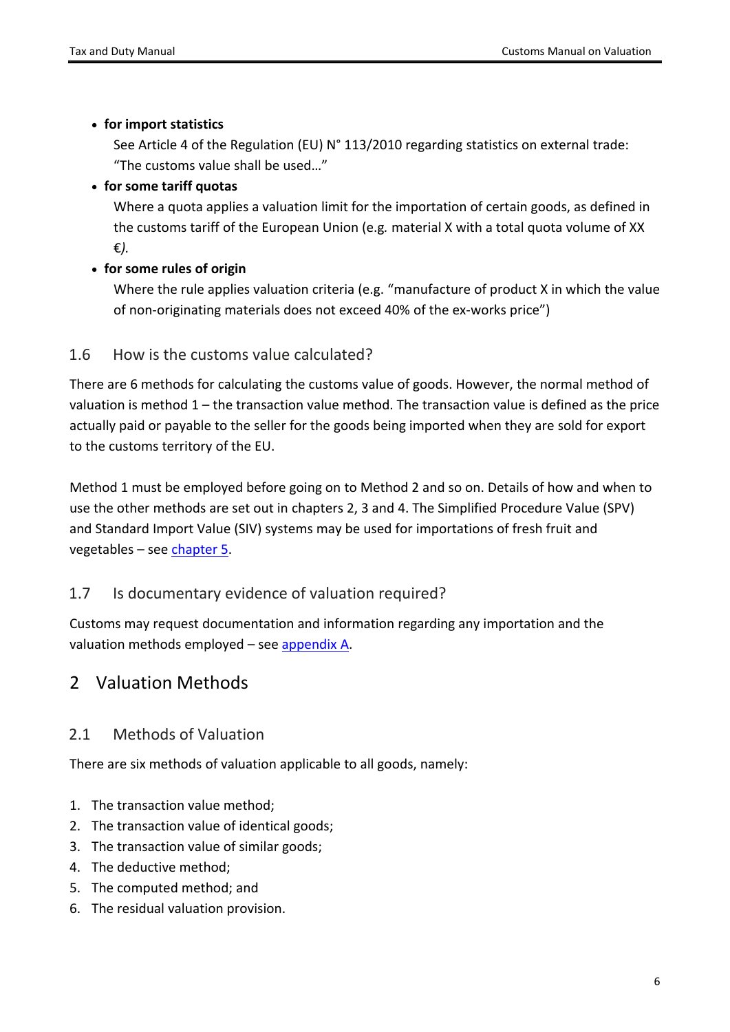#### **for import statistics**

See Article 4 of the Regulation (EU) N° 113/2010 regarding statistics on external trade: "The customs value shall be used…"

### **for some tariff quotas**

Where a quota applies a valuation limit for the importation of certain goods, as defined in the customs tariff of the European Union (e.g*.* material X with a total quota volume of XX €*).*

### **for some rules of origin**

Where the rule applies valuation criteria (e.g. "manufacture of product X in which the value of non-originating materials does not exceed 40% of the ex-works price")

## <span id="page-5-0"></span>1.6 How is the customs value calculated?

There are 6 methods for calculating the customs value of goods. However, the normal method of valuation is method 1 – the transaction value method. The transaction value is defined as the price actually paid or payable to the seller for the goods being imported when they are sold for export to the customs territory of the EU.

Method 1 must be employed before going on to Method 2 and so on. Details of how and when to use the other methods are set out in chapters 2, 3 and 4. The Simplified Procedure Value (SPV) and Standard Import Value (SIV) systems may be used for importations of fresh fruit and vegetables – see [chapter](#page-16-0) [5](#page-16-0).

## <span id="page-5-1"></span>1.7 Is documentary evidence of valuation required?

Customs may request documentation and information regarding any importation and the valuation methods employed – see appendix A.

# <span id="page-5-2"></span>2 Valuation Methods

## <span id="page-5-3"></span>2.1 Methods of Valuation

There are six methods of valuation applicable to all goods, namely:

- 1. The transaction value method;
- 2. The transaction value of identical goods;
- 3. The transaction value of similar goods;
- 4. The deductive method;
- 5. The computed method; and
- 6. The residual valuation provision.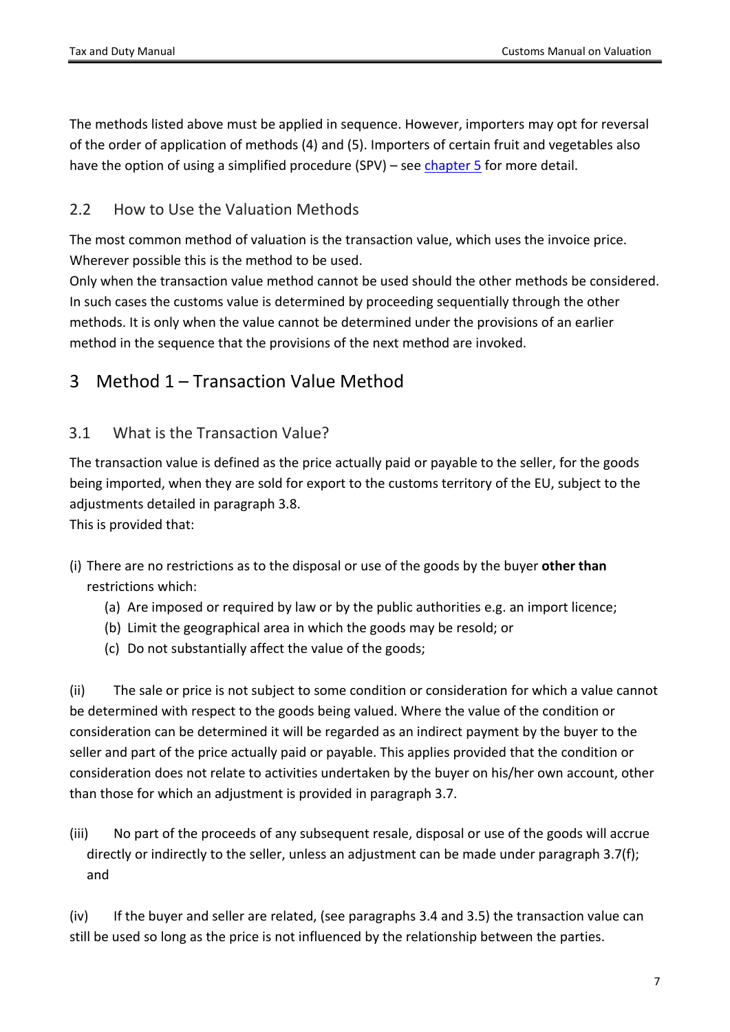The methods listed above must be applied in sequence. However, importers may opt for reversal of the order of application of methods (4) and (5). Importers of certain fruit and vegetables also have the option of using a simplified procedure (SPV) – see [chapter](#page-16-0)  $5$  for more detail.

### <span id="page-6-0"></span>2.2 How to Use the Valuation Methods

The most common method of valuation is the transaction value, which uses the invoice price. Wherever possible this is the method to be used.

Only when the transaction value method cannot be used should the other methods be considered. In such cases the customs value is determined by proceeding sequentially through the other methods. It is only when the value cannot be determined under the provisions of an earlier method in the sequence that the provisions of the next method are invoked.

## <span id="page-6-1"></span>3 Method 1 – Transaction Value Method

### <span id="page-6-2"></span>3.1 What is the Transaction Value?

The transaction value is defined as the price actually paid or payable to the seller, for the goods being imported, when they are sold for export to the customs territory of the EU, subject to the adjustments detailed in paragraph 3.8.

This is provided that:

- (i) There are no restrictions as to the disposal or use of the goods by the buyer **other than** restrictions which:
	- (a) Are imposed or required by law or by the public authorities e.g. an import licence;
	- (b) Limit the geographical area in which the goods may be resold; or
	- (c) Do not substantially affect the value of the goods;

(ii) The sale or price is not subject to some condition or consideration for which a value cannot be determined with respect to the goods being valued. Where the value of the condition or consideration can be determined it will be regarded as an indirect payment by the buyer to the seller and part of the price actually paid or payable. This applies provided that the condition or consideration does not relate to activities undertaken by the buyer on his/her own account, other than those for which an adjustment is provided in paragraph 3.7.

(iii) No part of the proceeds of any subsequent resale, disposal or use of the goods will accrue directly or indirectly to the seller, unless an adjustment can be made under paragraph 3.7(f); and

(iv) If the buyer and seller are related, (see paragraphs 3.4 and 3.5) the transaction value can still be used so long as the price is not influenced by the relationship between the parties.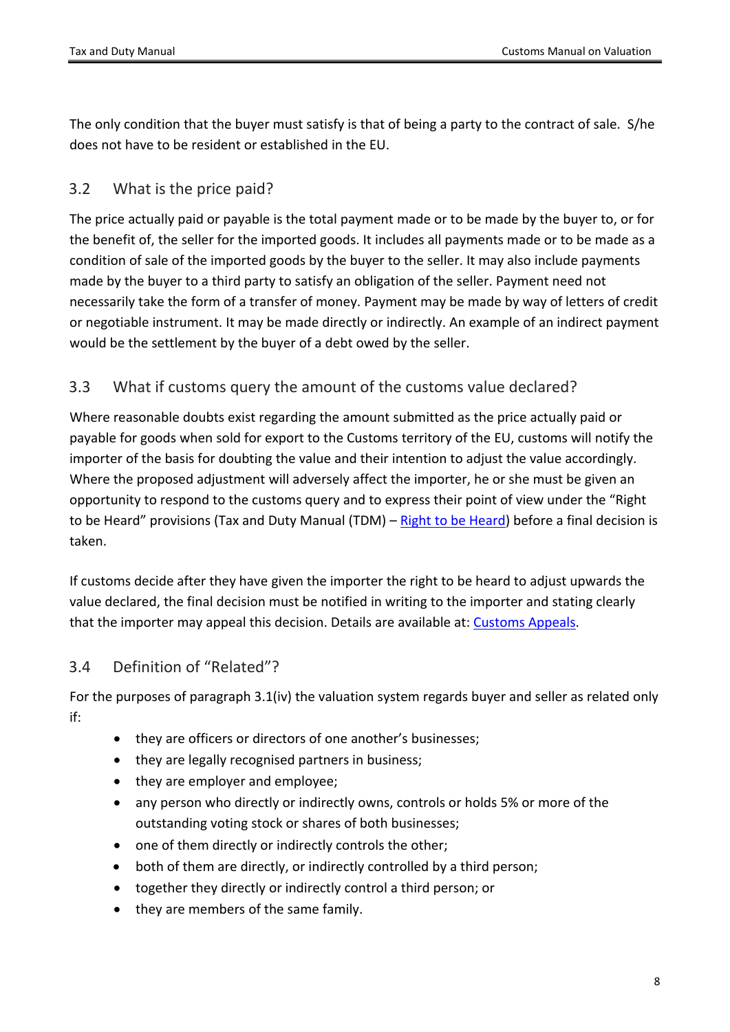The only condition that the buyer must satisfy is that of being a party to the contract of sale. S/he does not have to be resident or established in the EU.

## <span id="page-7-0"></span>3.2 What is the price paid?

The price actually paid or payable is the total payment made or to be made by the buyer to, or for the benefit of, the seller for the imported goods. It includes all payments made or to be made as a condition of sale of the imported goods by the buyer to the seller. It may also include payments made by the buyer to a third party to satisfy an obligation of the seller. Payment need not necessarily take the form of a transfer of money. Payment may be made by way of letters of credit or negotiable instrument. It may be made directly or indirectly. An example of an indirect payment would be the settlement by the buyer of a debt owed by the seller.

## <span id="page-7-1"></span>3.3 What if customs query the amount of the customs value declared?

Where reasonable doubts exist regarding the amount submitted as the price actually paid or payable for goods when sold for export to the Customs territory of the EU, customs will notify the importer of the basis for doubting the value and their intention to adjust the value accordingly. Where the proposed adjustment will adversely affect the importer, he or she must be given an opportunity to respond to the customs query and to express their point of view under the "Right to be Heard" provisions (Tax and Duty Manual (TDM) – [Right](https://www.revenue.ie/en/tax-professionals/tdm/customs/customs-debts/right-to-be-heard.pdf) [to](https://www.revenue.ie/en/tax-professionals/tdm/customs/customs-debts/right-to-be-heard.pdf) [be](https://www.revenue.ie/en/tax-professionals/tdm/customs/customs-debts/right-to-be-heard.pdf) [Heard](https://www.revenue.ie/en/tax-professionals/tdm/customs/customs-debts/right-to-be-heard.pdf)) before a final decision is taken.

If customs decide after they have given the importer the right to be heard to adjust upwards the value declared, the final decision must be notified in writing to the importer and stating clearly that the importer may appeal this decision. Details are available at: [Customs](https://www.revenue.ie/en/customs-traders-and-agents/customs-appeals/index.aspx) [Appeals.](https://www.revenue.ie/en/customs-traders-and-agents/customs-appeals/index.aspx)

## <span id="page-7-2"></span>3.4 Definition of "Related"?

For the purposes of paragraph 3.1(iv) the valuation system regards buyer and seller as related only if:

- they are officers or directors of one another's businesses;
- they are legally recognised partners in business;
- they are employer and employee;
- any person who directly or indirectly owns, controls or holds 5% or more of the outstanding voting stock or shares of both businesses;
- one of them directly or indirectly controls the other;
- both of them are directly, or indirectly controlled by a third person;
- together they directly or indirectly control a third person; or
- they are members of the same family.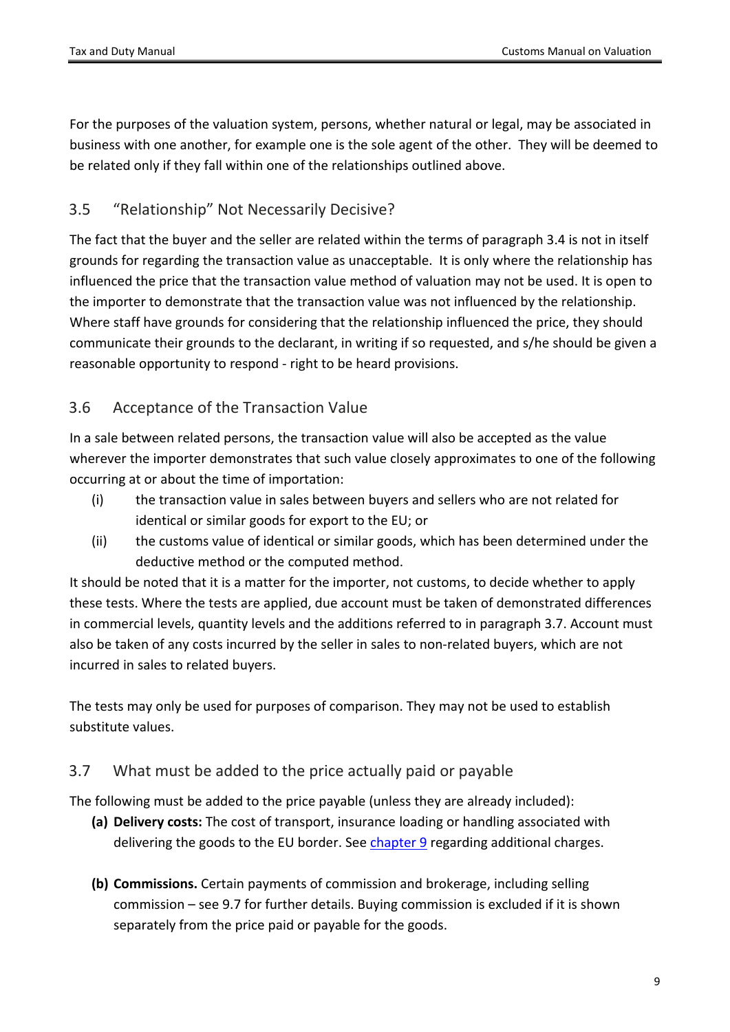For the purposes of the valuation system, persons, whether natural or legal, may be associated in business with one another, for example one is the sole agent of the other. They will be deemed to be related only if they fall within one of the relationships outlined above.

### <span id="page-8-0"></span>3.5 "Relationship" Not Necessarily Decisive?

The fact that the buyer and the seller are related within the terms of paragraph 3.4 is not in itself grounds for regarding the transaction value as unacceptable. It is only where the relationship has influenced the price that the transaction value method of valuation may not be used. It is open to the importer to demonstrate that the transaction value was not influenced by the relationship. Where staff have grounds for considering that the relationship influenced the price, they should communicate their grounds to the declarant, in writing if so requested, and s/he should be given a reasonable opportunity to respond - right to be heard provisions.

## <span id="page-8-1"></span>3.6 Acceptance of the Transaction Value

In a sale between related persons, the transaction value will also be accepted as the value wherever the importer demonstrates that such value closely approximates to one of the following occurring at or about the time of importation:

- (i) the transaction value in sales between buyers and sellers who are not related for identical or similar goods for export to the EU; or
- (ii) the customs value of identical or similar goods, which has been determined under the deductive method or the computed method.

It should be noted that it is a matter for the importer, not customs, to decide whether to apply these tests. Where the tests are applied, due account must be taken of demonstrated differences in commercial levels, quantity levels and the additions referred to in paragraph 3.7. Account must also be taken of any costs incurred by the seller in sales to non-related buyers, which are not incurred in sales to related buyers.

The tests may only be used for purposes of comparison. They may not be used to establish substitute values.

### <span id="page-8-2"></span>3.7 What must be added to the price actually paid or payable

The following must be added to the price payable (unless they are already included):

- **(a) Delivery costs:** The cost of transport, insurance loading or handling associated with delivering the goods to the EU border. See [chapter](#page-19-1) [9](#page-19-1) regarding additional charges.
- **(b) Commissions.** Certain payments of commission and brokerage, including selling commission – see 9.7 for further details. Buying commission is excluded if it is shown separately from the price paid or payable for the goods.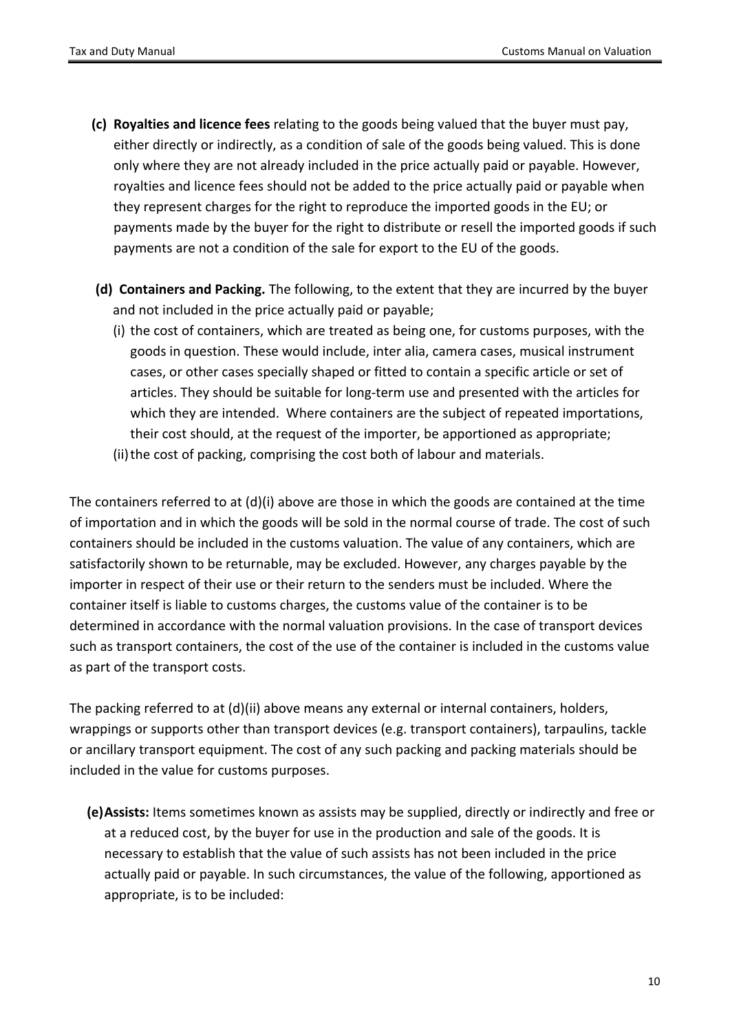- **(c) Royalties and licence fees** relating to the goods being valued that the buyer must pay, either directly or indirectly, as a condition of sale of the goods being valued. This is done only where they are not already included in the price actually paid or payable. However, royalties and licence fees should not be added to the price actually paid or payable when they represent charges for the right to reproduce the imported goods in the EU; or payments made by the buyer for the right to distribute or resell the imported goods if such payments are not a condition of the sale for export to the EU of the goods.
- **(d) Containers and Packing.** The following, to the extent that they are incurred by the buyer and not included in the price actually paid or payable;
	- (i) the cost of containers, which are treated as being one, for customs purposes, with the goods in question. These would include, inter alia, camera cases, musical instrument cases, or other cases specially shaped or fitted to contain a specific article or set of articles. They should be suitable for long-term use and presented with the articles for which they are intended. Where containers are the subject of repeated importations, their cost should, at the request of the importer, be apportioned as appropriate;
	- (ii) the cost of packing, comprising the cost both of labour and materials.

The containers referred to at (d)(i) above are those in which the goods are contained at the time of importation and in which the goods will be sold in the normal course of trade. The cost of such containers should be included in the customs valuation. The value of any containers, which are satisfactorily shown to be returnable, may be excluded. However, any charges payable by the importer in respect of their use or their return to the senders must be included. Where the container itself is liable to customs charges, the customs value of the container is to be determined in accordance with the normal valuation provisions. In the case of transport devices such as transport containers, the cost of the use of the container is included in the customs value as part of the transport costs.

The packing referred to at (d)(ii) above means any external or internal containers, holders, wrappings or supports other than transport devices (e.g. transport containers), tarpaulins, tackle or ancillary transport equipment. The cost of any such packing and packing materials should be included in the value for customs purposes.

**(e)Assists:** Items sometimes known as assists may be supplied, directly or indirectly and free or at a reduced cost, by the buyer for use in the production and sale of the goods. It is necessary to establish that the value of such assists has not been included in the price actually paid or payable. In such circumstances, the value of the following, apportioned as appropriate, is to be included: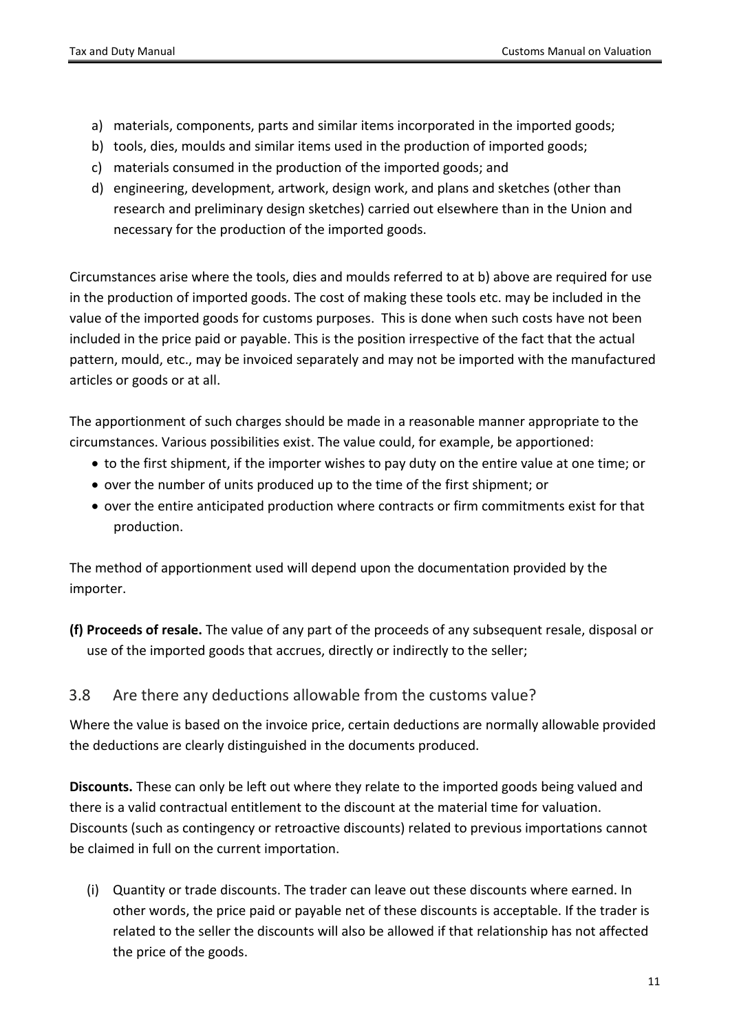- a) materials, components, parts and similar items incorporated in the imported goods;
- b) tools, dies, moulds and similar items used in the production of imported goods;
- c) materials consumed in the production of the imported goods; and
- d) engineering, development, artwork, design work, and plans and sketches (other than research and preliminary design sketches) carried out elsewhere than in the Union and necessary for the production of the imported goods.

Circumstances arise where the tools, dies and moulds referred to at b) above are required for use in the production of imported goods. The cost of making these tools etc. may be included in the value of the imported goods for customs purposes. This is done when such costs have not been included in the price paid or payable. This is the position irrespective of the fact that the actual pattern, mould, etc., may be invoiced separately and may not be imported with the manufactured articles or goods or at all.

The apportionment of such charges should be made in a reasonable manner appropriate to the circumstances. Various possibilities exist. The value could, for example, be apportioned:

- to the first shipment, if the importer wishes to pay duty on the entire value at one time; or
- over the number of units produced up to the time of the first shipment; or
- over the entire anticipated production where contracts or firm commitments exist for that production.

The method of apportionment used will depend upon the documentation provided by the importer.

**(f) Proceeds of resale.** The value of any part of the proceeds of any subsequent resale, disposal or use of the imported goods that accrues, directly or indirectly to the seller;

### <span id="page-10-0"></span>3.8 Are there any deductions allowable from the customs value?

Where the value is based on the invoice price, certain deductions are normally allowable provided the deductions are clearly distinguished in the documents produced.

**Discounts.** These can only be left out where they relate to the imported goods being valued and there is a valid contractual entitlement to the discount at the material time for valuation. Discounts (such as contingency or retroactive discounts) related to previous importations cannot be claimed in full on the current importation.

(i) Quantity or trade discounts. The trader can leave out these discounts where earned. In other words, the price paid or payable net of these discounts is acceptable. If the trader is related to the seller the discounts will also be allowed if that relationship has not affected the price of the goods.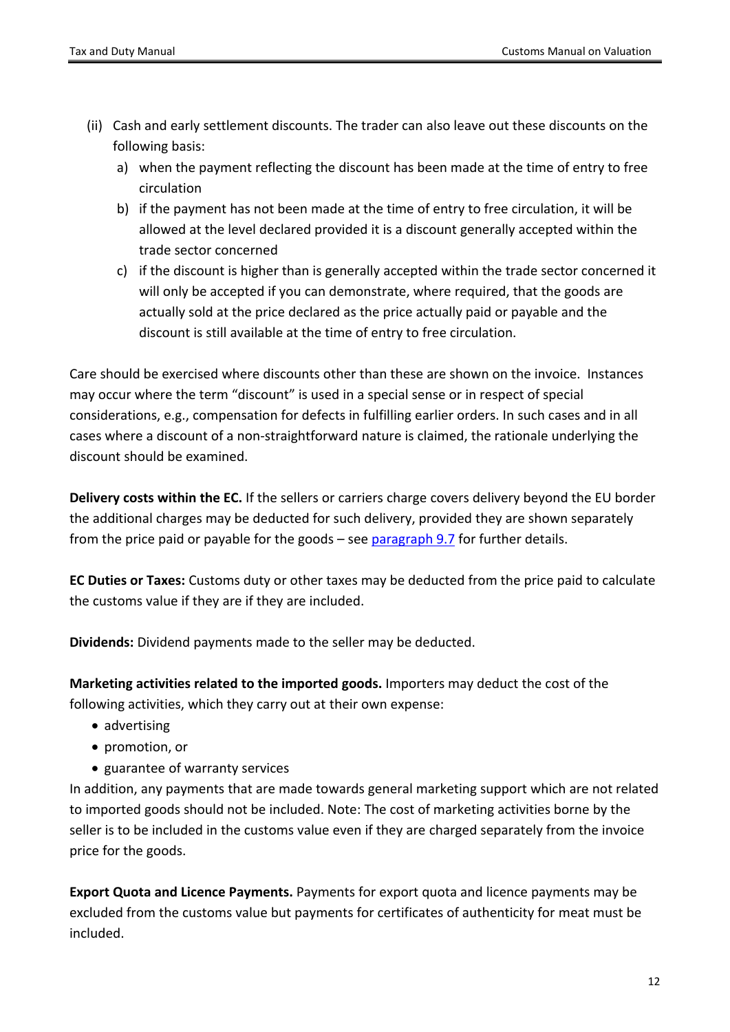- (ii) Cash and early settlement discounts. The trader can also leave out these discounts on the following basis:
	- a) when the payment reflecting the discount has been made at the time of entry to free circulation
	- b) if the payment has not been made at the time of entry to free circulation, it will be allowed at the level declared provided it is a discount generally accepted within the trade sector concerned
	- c) if the discount is higher than is generally accepted within the trade sector concerned it will only be accepted if you can demonstrate, where required, that the goods are actually sold at the price declared as the price actually paid or payable and the discount is still available at the time of entry to free circulation.

Care should be exercised where discounts other than these are shown on the invoice. Instances may occur where the term "discount" is used in a special sense or in respect of special considerations, e.g., compensation for defects in fulfilling earlier orders. In such cases and in all cases where a discount of a non-straightforward nature is claimed, the rationale underlying the discount should be examined.

**Delivery costs within the EC.** If the sellers or carriers charge covers delivery beyond the EU border the additional charges may be deducted for such delivery, provided they are shown separately from the price paid or payable for the goods – see [paragraph](#page-21-1) [9.7](#page-21-1) for further details.

**EC Duties or Taxes:** Customs duty or other taxes may be deducted from the price paid to calculate the customs value if they are if they are included.

**Dividends:** Dividend payments made to the seller may be deducted.

**Marketing activities related to the imported goods.** Importers may deduct the cost of the following activities, which they carry out at their own expense:

- advertising
- promotion, or
- guarantee of warranty services

In addition, any payments that are made towards general marketing support which are not related to imported goods should not be included. Note: The cost of marketing activities borne by the seller is to be included in the customs value even if they are charged separately from the invoice price for the goods.

**Export Quota and Licence Payments.** Payments for export quota and licence payments may be excluded from the customs value but payments for certificates of authenticity for meat must be included.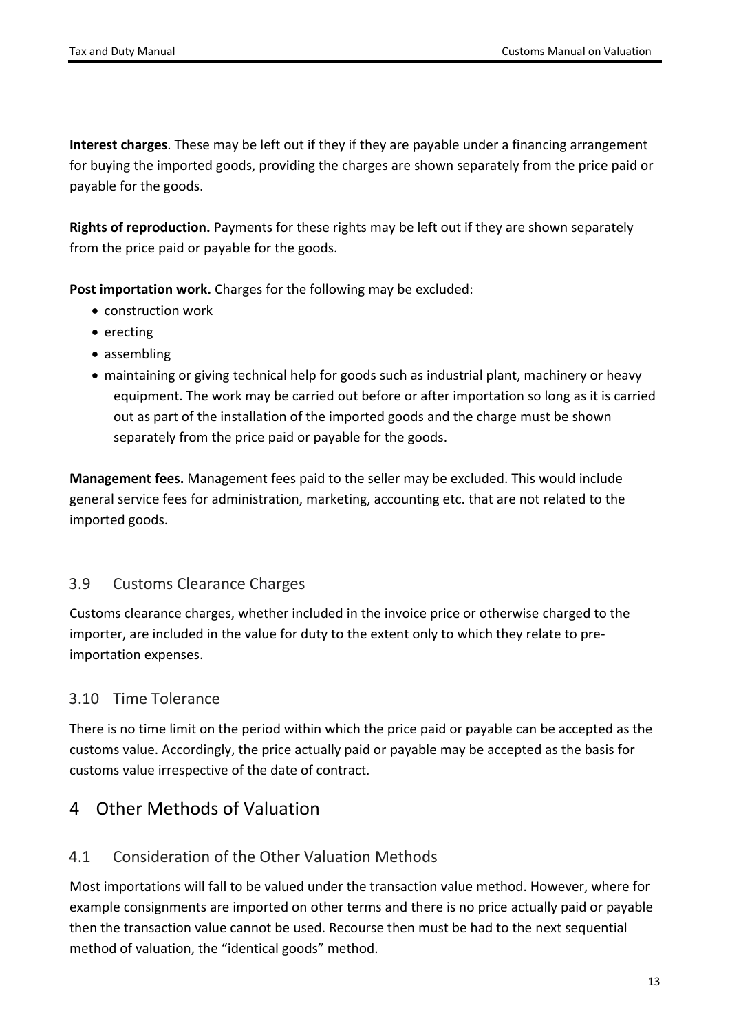**Interest charges**. These may be left out if they if they are payable under a financing arrangement for buying the imported goods, providing the charges are shown separately from the price paid or payable for the goods.

**Rights of reproduction.** Payments for these rights may be left out if they are shown separately from the price paid or payable for the goods.

**Post importation work.** Charges for the following may be excluded:

- construction work
- erecting
- assembling
- maintaining or giving technical help for goods such as industrial plant, machinery or heavy equipment. The work may be carried out before or after importation so long as it is carried out as part of the installation of the imported goods and the charge must be shown separately from the price paid or payable for the goods.

**Management fees.** Management fees paid to the seller may be excluded. This would include general service fees for administration, marketing, accounting etc. that are not related to the imported goods.

### <span id="page-12-0"></span>3.9 Customs Clearance Charges

Customs clearance charges, whether included in the invoice price or otherwise charged to the importer, are included in the value for duty to the extent only to which they relate to preimportation expenses.

## <span id="page-12-1"></span>3.10 Time Tolerance

There is no time limit on the period within which the price paid or payable can be accepted as the customs value. Accordingly, the price actually paid or payable may be accepted as the basis for customs value irrespective of the date of contract.

## <span id="page-12-2"></span>4 Other Methods of Valuation

### <span id="page-12-3"></span>4.1 Consideration of the Other Valuation Methods

Most importations will fall to be valued under the transaction value method. However, where for example consignments are imported on other terms and there is no price actually paid or payable then the transaction value cannot be used. Recourse then must be had to the next sequential method of valuation, the "identical goods" method.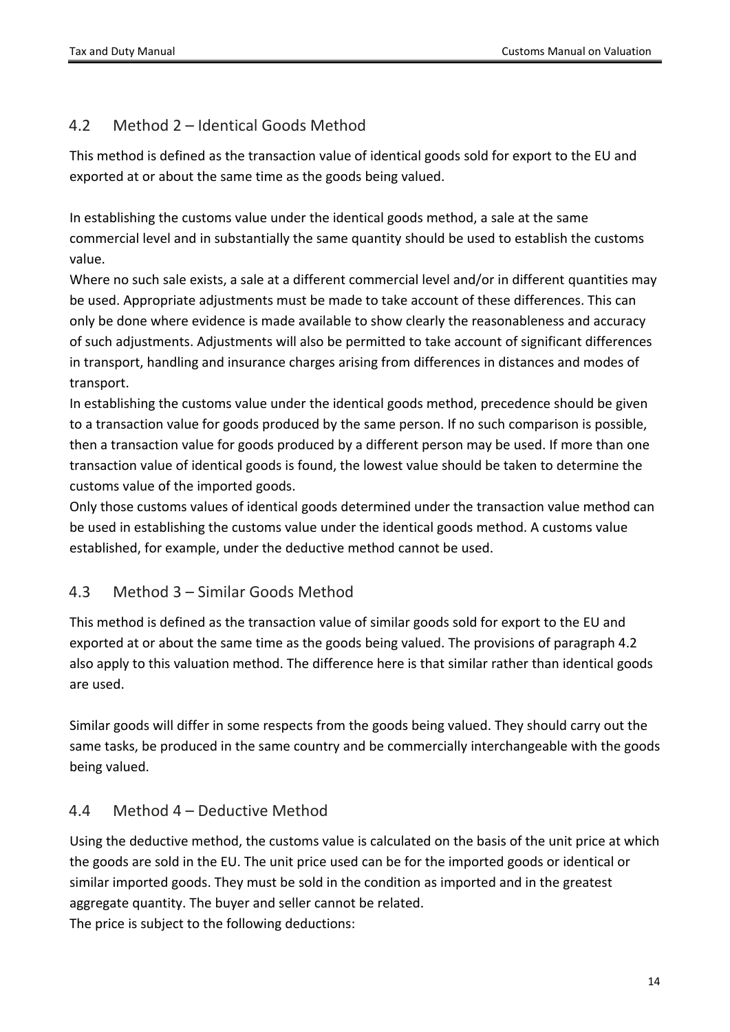## <span id="page-13-0"></span>4.2 Method 2 – Identical Goods Method

This method is defined as the transaction value of identical goods sold for export to the EU and exported at or about the same time as the goods being valued.

In establishing the customs value under the identical goods method, a sale at the same commercial level and in substantially the same quantity should be used to establish the customs value.

Where no such sale exists, a sale at a different commercial level and/or in different quantities may be used. Appropriate adjustments must be made to take account of these differences. This can only be done where evidence is made available to show clearly the reasonableness and accuracy of such adjustments. Adjustments will also be permitted to take account of significant differences in transport, handling and insurance charges arising from differences in distances and modes of transport.

In establishing the customs value under the identical goods method, precedence should be given to a transaction value for goods produced by the same person. If no such comparison is possible, then a transaction value for goods produced by a different person may be used. If more than one transaction value of identical goods is found, the lowest value should be taken to determine the customs value of the imported goods.

Only those customs values of identical goods determined under the transaction value method can be used in establishing the customs value under the identical goods method. A customs value established, for example, under the deductive method cannot be used.

## <span id="page-13-1"></span>4.3 Method 3 – Similar Goods Method

This method is defined as the transaction value of similar goods sold for export to the EU and exported at or about the same time as the goods being valued. The provisions of paragraph 4.2 also apply to this valuation method. The difference here is that similar rather than identical goods are used.

Similar goods will differ in some respects from the goods being valued. They should carry out the same tasks, be produced in the same country and be commercially interchangeable with the goods being valued.

### <span id="page-13-2"></span>4.4 Method 4 – Deductive Method

Using the deductive method, the customs value is calculated on the basis of the unit price at which the goods are sold in the EU. The unit price used can be for the imported goods or identical or similar imported goods. They must be sold in the condition as imported and in the greatest aggregate quantity. The buyer and seller cannot be related. The price is subject to the following deductions: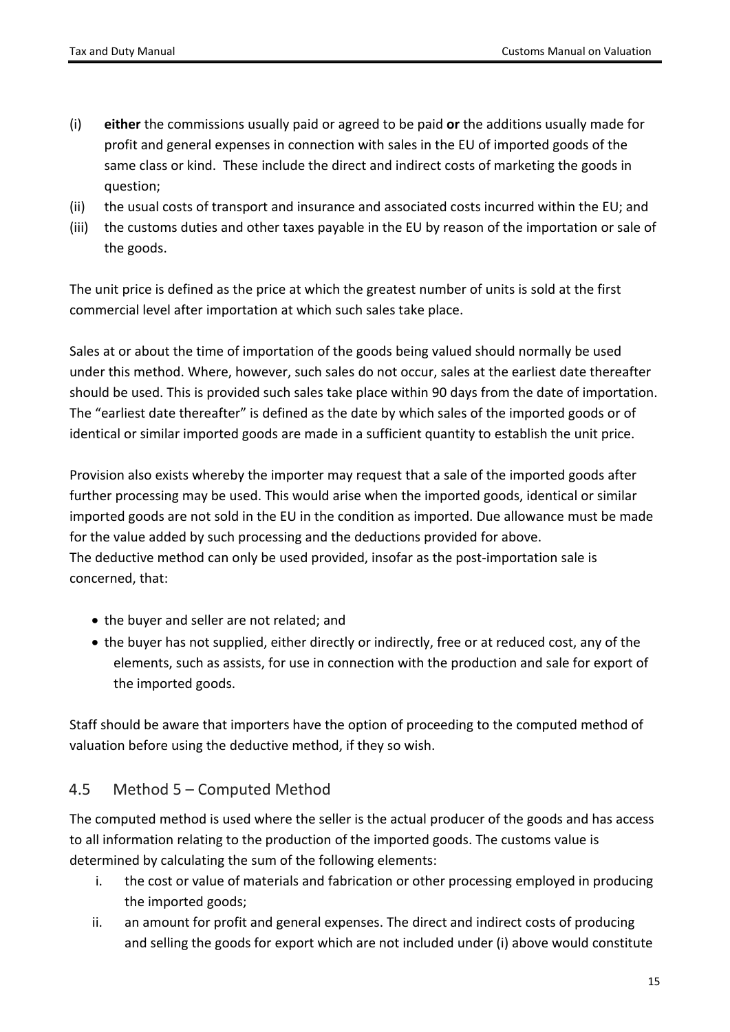- (i) **either** the commissions usually paid or agreed to be paid **or** the additions usually made for profit and general expenses in connection with sales in the EU of imported goods of the same class or kind. These include the direct and indirect costs of marketing the goods in question;
- (ii) the usual costs of transport and insurance and associated costs incurred within the EU; and
- (iii) the customs duties and other taxes payable in the EU by reason of the importation or sale of the goods.

The unit price is defined as the price at which the greatest number of units is sold at the first commercial level after importation at which such sales take place.

Sales at or about the time of importation of the goods being valued should normally be used under this method. Where, however, such sales do not occur, sales at the earliest date thereafter should be used. This is provided such sales take place within 90 days from the date of importation. The "earliest date thereafter" is defined as the date by which sales of the imported goods or of identical or similar imported goods are made in a sufficient quantity to establish the unit price.

Provision also exists whereby the importer may request that a sale of the imported goods after further processing may be used. This would arise when the imported goods, identical or similar imported goods are not sold in the EU in the condition as imported. Due allowance must be made for the value added by such processing and the deductions provided for above. The deductive method can only be used provided, insofar as the post-importation sale is concerned, that:

- the buyer and seller are not related; and
- the buyer has not supplied, either directly or indirectly, free or at reduced cost, any of the elements, such as assists, for use in connection with the production and sale for export of the imported goods.

Staff should be aware that importers have the option of proceeding to the computed method of valuation before using the deductive method, if they so wish.

### <span id="page-14-0"></span>4.5 Method 5 – Computed Method

The computed method is used where the seller is the actual producer of the goods and has access to all information relating to the production of the imported goods. The customs value is determined by calculating the sum of the following elements:

- i. the cost or value of materials and fabrication or other processing employed in producing the imported goods;
- ii. an amount for profit and general expenses. The direct and indirect costs of producing and selling the goods for export which are not included under (i) above would constitute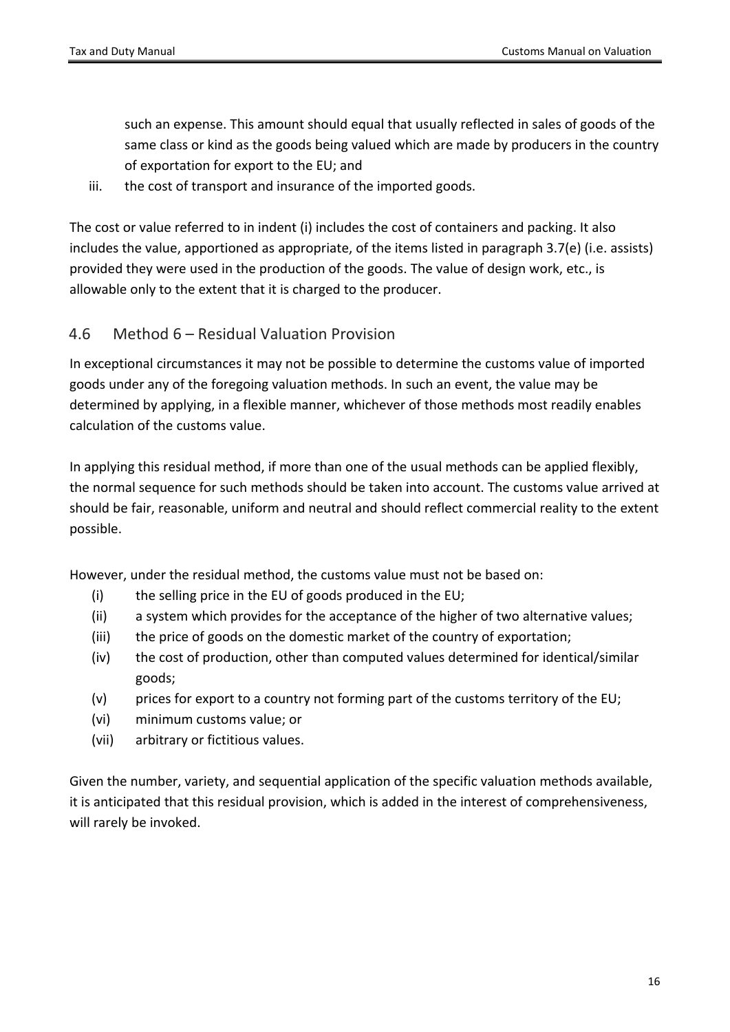such an expense. This amount should equal that usually reflected in sales of goods of the same class or kind as the goods being valued which are made by producers in the country of exportation for export to the EU; and

iii. the cost of transport and insurance of the imported goods.

The cost or value referred to in indent (i) includes the cost of containers and packing. It also includes the value, apportioned as appropriate, of the items listed in paragraph 3.7(e) (i.e. assists) provided they were used in the production of the goods. The value of design work, etc., is allowable only to the extent that it is charged to the producer.

### <span id="page-15-0"></span>4.6 Method 6 – Residual Valuation Provision

In exceptional circumstances it may not be possible to determine the customs value of imported goods under any of the foregoing valuation methods. In such an event, the value may be determined by applying, in a flexible manner, whichever of those methods most readily enables calculation of the customs value.

In applying this residual method, if more than one of the usual methods can be applied flexibly, the normal sequence for such methods should be taken into account. The customs value arrived at should be fair, reasonable, uniform and neutral and should reflect commercial reality to the extent possible.

However, under the residual method, the customs value must not be based on:

- (i) the selling price in the EU of goods produced in the EU;
- (ii) a system which provides for the acceptance of the higher of two alternative values;
- (iii) the price of goods on the domestic market of the country of exportation;
- (iv) the cost of production, other than computed values determined for identical/similar goods;
- (v) prices for export to a country not forming part of the customs territory of the EU;
- (vi) minimum customs value; or
- (vii) arbitrary or fictitious values.

Given the number, variety, and sequential application of the specific valuation methods available, it is anticipated that this residual provision, which is added in the interest of comprehensiveness, will rarely be invoked.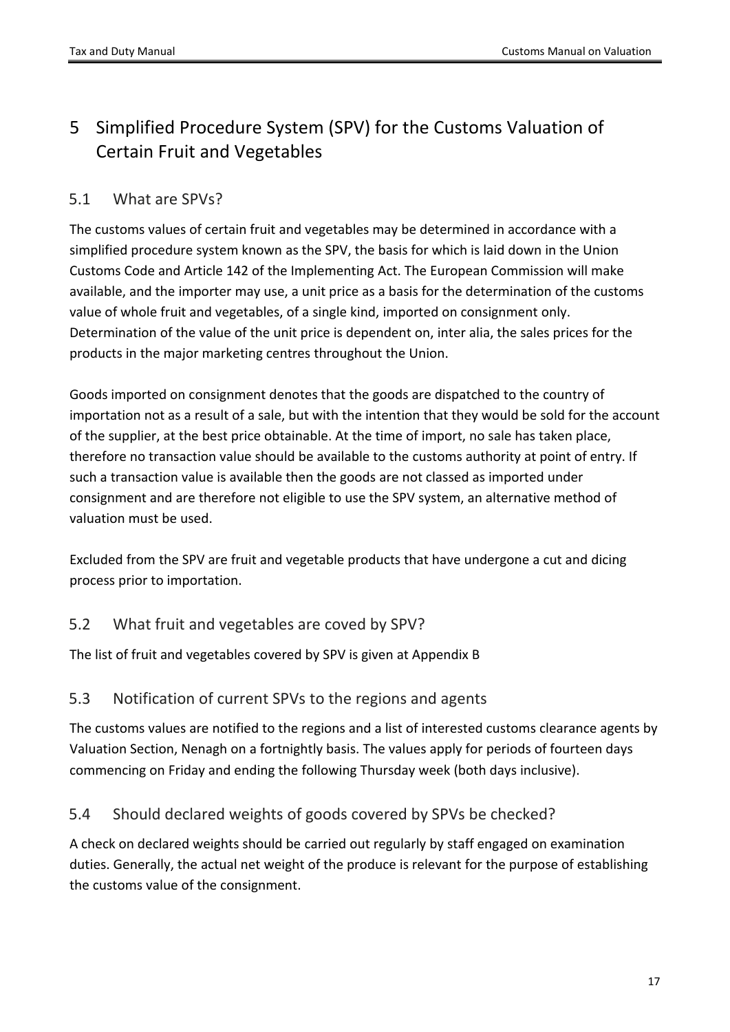# <span id="page-16-0"></span>5 Simplified Procedure System (SPV) for the Customs Valuation of Certain Fruit and Vegetables

### <span id="page-16-1"></span>5.1 What are SPVs?

The customs values of certain fruit and vegetables may be determined in accordance with a simplified procedure system known as the SPV, the basis for which is laid down in the Union Customs Code and Article 142 of the Implementing Act. The European Commission will make available, and the importer may use, a unit price as a basis for the determination of the customs value of whole fruit and vegetables, of a single kind, imported on consignment only. Determination of the value of the unit price is dependent on, inter alia, the sales prices for the products in the major marketing centres throughout the Union.

Goods imported on consignment denotes that the goods are dispatched to the country of importation not as a result of a sale, but with the intention that they would be sold for the account of the supplier, at the best price obtainable. At the time of import, no sale has taken place, therefore no transaction value should be available to the customs authority at point of entry. If such a transaction value is available then the goods are not classed as imported under consignment and are therefore not eligible to use the SPV system, an alternative method of valuation must be used.

Excluded from the SPV are fruit and vegetable products that have undergone a cut and dicing process prior to importation.

### <span id="page-16-2"></span>5.2 What fruit and vegetables are coved by SPV?

<span id="page-16-3"></span>The list of fruit and vegetables covered by SPV is given at Appendix B

### 5.3 Notification of current SPVs to the regions and agents

The customs values are notified to the regions and a list of interested customs clearance agents by Valuation Section, Nenagh on a fortnightly basis. The values apply for periods of fourteen days commencing on Friday and ending the following Thursday week (both days inclusive).

## <span id="page-16-4"></span>5.4 Should declared weights of goods covered by SPVs be checked?

A check on declared weights should be carried out regularly by staff engaged on examination duties. Generally, the actual net weight of the produce is relevant for the purpose of establishing the customs value of the consignment.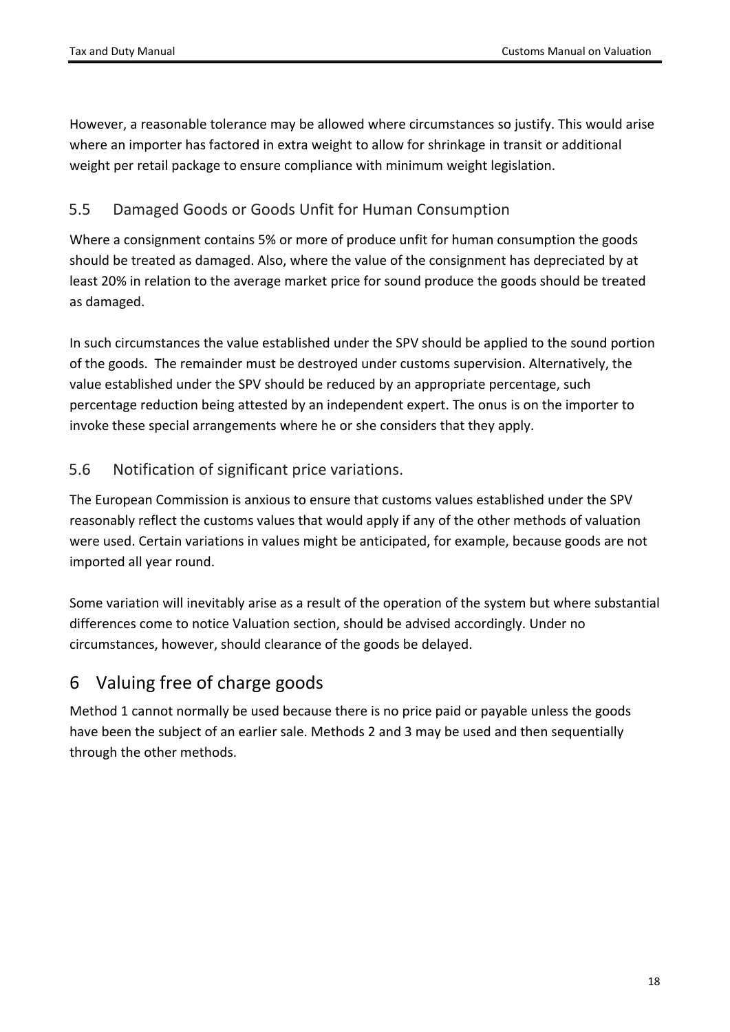However, a reasonable tolerance may be allowed where circumstances so justify. This would arise where an importer has factored in extra weight to allow for shrinkage in transit or additional weight per retail package to ensure compliance with minimum weight legislation.

### <span id="page-17-0"></span>5.5 Damaged Goods or Goods Unfit for Human Consumption

Where a consignment contains 5% or more of produce unfit for human consumption the goods should be treated as damaged. Also, where the value of the consignment has depreciated by at least 20% in relation to the average market price for sound produce the goods should be treated as damaged.

In such circumstances the value established under the SPV should be applied to the sound portion of the goods. The remainder must be destroyed under customs supervision. Alternatively, the value established under the SPV should be reduced by an appropriate percentage, such percentage reduction being attested by an independent expert. The onus is on the importer to invoke these special arrangements where he or she considers that they apply.

### <span id="page-17-1"></span>5.6 Notification of significant price variations.

The European Commission is anxious to ensure that customs values established under the SPV reasonably reflect the customs values that would apply if any of the other methods of valuation were used. Certain variations in values might be anticipated, for example, because goods are not imported all year round.

Some variation will inevitably arise as a result of the operation of the system but where substantial differences come to notice Valuation section, should be advised accordingly. Under no circumstances, however, should clearance of the goods be delayed.

# <span id="page-17-2"></span>6 Valuing free of charge goods

Method 1 cannot normally be used because there is no price paid or payable unless the goods have been the subject of an earlier sale. Methods 2 and 3 may be used and then sequentially through the other methods.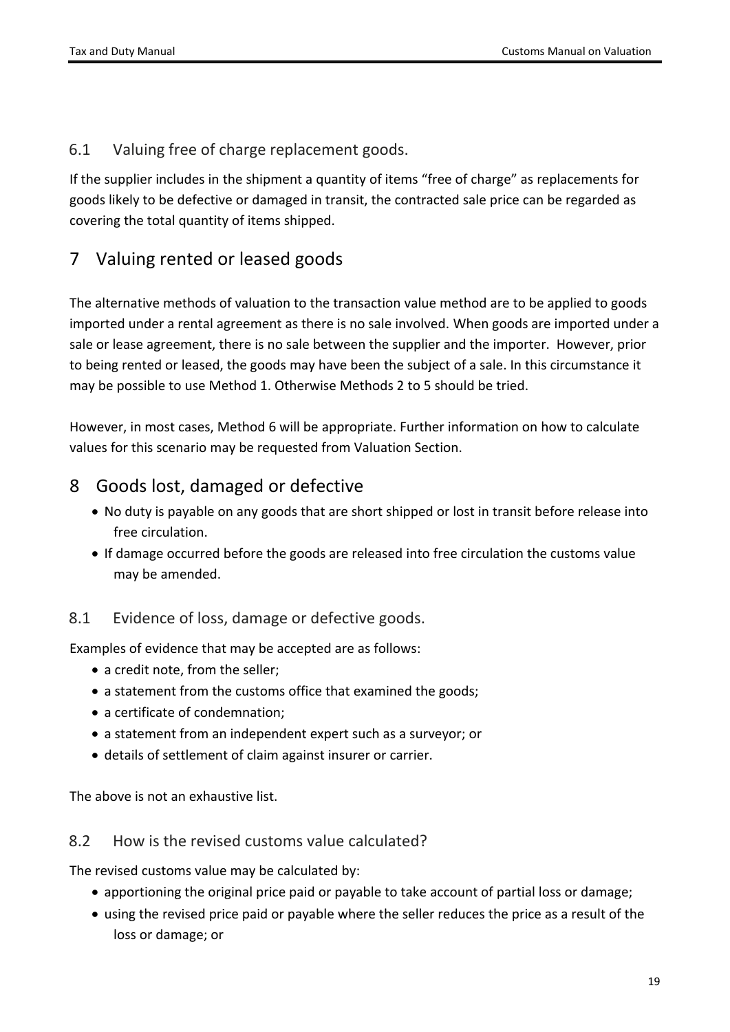<span id="page-18-0"></span>6.1 Valuing free of charge replacement goods.

If the supplier includes in the shipment a quantity of items "free of charge" as replacements for goods likely to be defective or damaged in transit, the contracted sale price can be regarded as covering the total quantity of items shipped.

# <span id="page-18-1"></span>7 Valuing rented or leased goods

The alternative methods of valuation to the transaction value method are to be applied to goods imported under a rental agreement as there is no sale involved. When goods are imported under a sale or lease agreement, there is no sale between the supplier and the importer. However, prior to being rented or leased, the goods may have been the subject of a sale. In this circumstance it may be possible to use Method 1. Otherwise Methods 2 to 5 should be tried.

However, in most cases, Method 6 will be appropriate. Further information on how to calculate values for this scenario may be requested from Valuation Section.

## <span id="page-18-2"></span>8 Goods lost, damaged or defective

- No duty is payable on any goods that are short shipped or lost in transit before release into free circulation.
- If damage occurred before the goods are released into free circulation the customs value may be amended.

## <span id="page-18-3"></span>8.1 Evidence of loss, damage or defective goods.

Examples of evidence that may be accepted are as follows:

- a credit note, from the seller;
- a statement from the customs office that examined the goods:
- a certificate of condemnation;
- a statement from an independent expert such as a surveyor; or
- details of settlement of claim against insurer or carrier.

<span id="page-18-4"></span>The above is not an exhaustive list.

### 8.2 How is the revised customs value calculated?

The revised customs value may be calculated by:

- apportioning the original price paid or payable to take account of partial loss or damage;
- using the revised price paid or payable where the seller reduces the price as a result of the loss or damage; or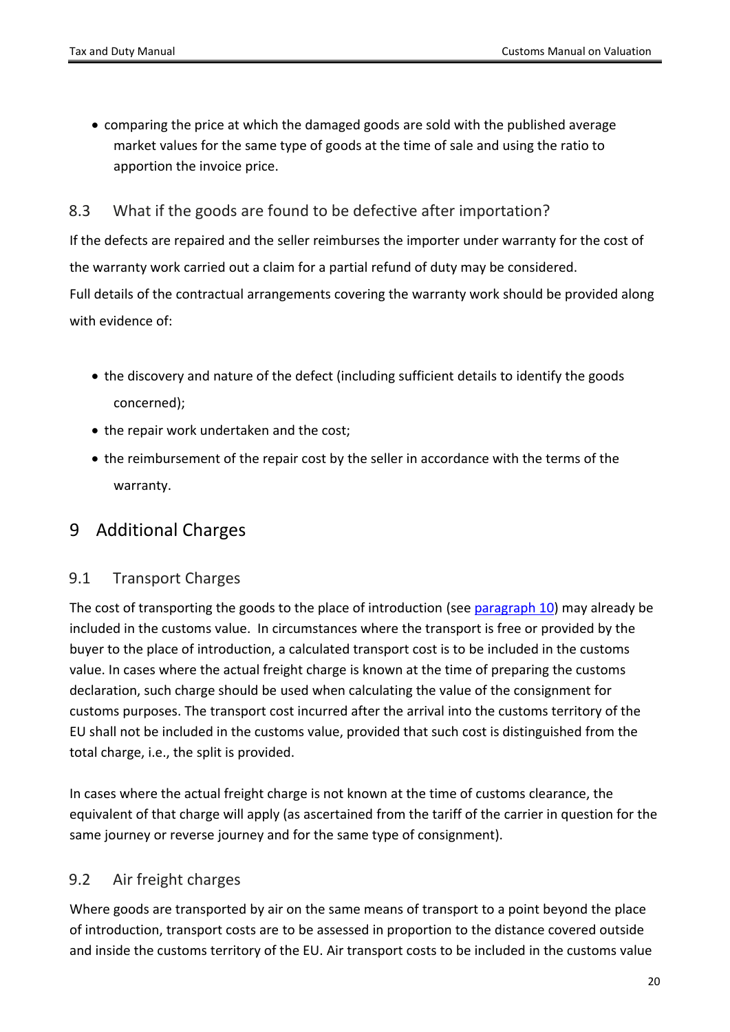comparing the price at which the damaged goods are sold with the published average market values for the same type of goods at the time of sale and using the ratio to apportion the invoice price.

### <span id="page-19-0"></span>8.3 What if the goods are found to be defective after importation?

If the defects are repaired and the seller reimburses the importer under warranty for the cost of the warranty work carried out a claim for a partial refund of duty may be considered. Full details of the contractual arrangements covering the warranty work should be provided along with evidence of:

- the discovery and nature of the defect (including sufficient details to identify the goods concerned);
- the repair work undertaken and the cost;
- the reimbursement of the repair cost by the seller in accordance with the terms of the warranty.

## <span id="page-19-2"></span><span id="page-19-1"></span>9 Additional Charges

### 9.1 Transport Charges

The cost of transporting the goods to the place of introduction (see [paragraph](#page-22-0) [10](#page-22-0)) may already be included in the customs value. In circumstances where the transport is free or provided by the buyer to the place of introduction, a calculated transport cost is to be included in the customs value. In cases where the actual freight charge is known at the time of preparing the customs declaration, such charge should be used when calculating the value of the consignment for customs purposes. The transport cost incurred after the arrival into the customs territory of the EU shall not be included in the customs value, provided that such cost is distinguished from the total charge, i.e., the split is provided.

In cases where the actual freight charge is not known at the time of customs clearance, the equivalent of that charge will apply (as ascertained from the tariff of the carrier in question for the same journey or reverse journey and for the same type of consignment).

## <span id="page-19-3"></span>9.2 Air freight charges

Where goods are transported by air on the same means of transport to a point beyond the place of introduction, transport costs are to be assessed in proportion to the distance covered outside and inside the customs territory of the EU. Air transport costs to be included in the customs value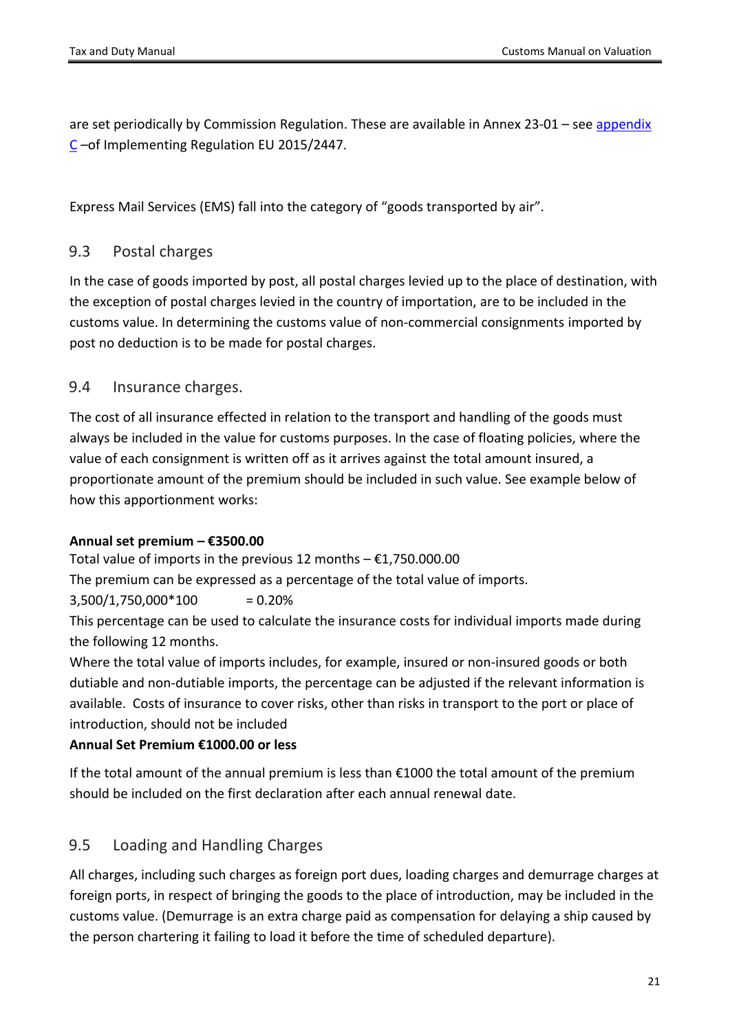are set periodically by Commission Regulation. These are available in Annex 23-01 – see [appendix](#page-38-0) [C](#page-38-0) –of Implementing Regulation EU 2015/2447.

<span id="page-20-0"></span>Express Mail Services (EMS) fall into the category of "goods transported by air".

### 9.3 Postal charges

In the case of goods imported by post, all postal charges levied up to the place of destination, with the exception of postal charges levied in the country of importation, are to be included in the customs value. In determining the customs value of non-commercial consignments imported by post no deduction is to be made for postal charges.

### <span id="page-20-1"></span>9.4 Insurance charges.

The cost of all insurance effected in relation to the transport and handling of the goods must always be included in the value for customs purposes. In the case of floating policies, where the value of each consignment is written off as it arrives against the total amount insured, a proportionate amount of the premium should be included in such value. See example below of how this apportionment works:

#### **Annual set premium – €3500.00**

Total value of imports in the previous 12 months  $-\epsilon$ 1,750.000.00

The premium can be expressed as a percentage of the total value of imports.

### $3,500/1,750.000*100 = 0.20%$

This percentage can be used to calculate the insurance costs for individual imports made during the following 12 months.

Where the total value of imports includes, for example, insured or non-insured goods or both dutiable and non-dutiable imports, the percentage can be adjusted if the relevant information is available. Costs of insurance to cover risks, other than risks in transport to the port or place of introduction, should not be included

### **Annual Set Premium €1000.00 or less**

If the total amount of the annual premium is less than €1000 the total amount of the premium should be included on the first declaration after each annual renewal date.

## <span id="page-20-2"></span>9.5 Loading and Handling Charges

All charges, including such charges as foreign port dues, loading charges and demurrage charges at foreign ports, in respect of bringing the goods to the place of introduction, may be included in the customs value. (Demurrage is an extra charge paid as compensation for delaying a ship caused by the person chartering it failing to load it before the time of scheduled departure).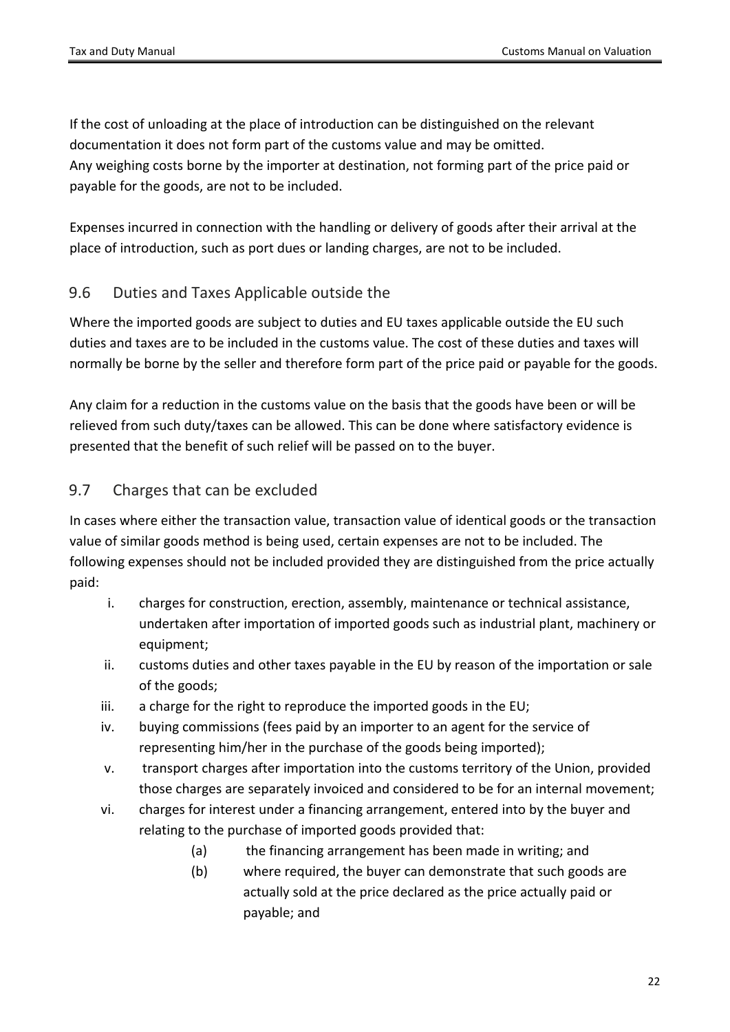If the cost of unloading at the place of introduction can be distinguished on the relevant documentation it does not form part of the customs value and may be omitted. Any weighing costs borne by the importer at destination, not forming part of the price paid or payable for the goods, are not to be included.

Expenses incurred in connection with the handling or delivery of goods after their arrival at the place of introduction, such as port dues or landing charges, are not to be included.

## <span id="page-21-0"></span>9.6 Duties and Taxes Applicable outside the

Where the imported goods are subject to duties and EU taxes applicable outside the EU such duties and taxes are to be included in the customs value. The cost of these duties and taxes will normally be borne by the seller and therefore form part of the price paid or payable for the goods.

Any claim for a reduction in the customs value on the basis that the goods have been or will be relieved from such duty/taxes can be allowed. This can be done where satisfactory evidence is presented that the benefit of such relief will be passed on to the buyer.

### <span id="page-21-1"></span>9.7 Charges that can be excluded

In cases where either the transaction value, transaction value of identical goods or the transaction value of similar goods method is being used, certain expenses are not to be included. The following expenses should not be included provided they are distinguished from the price actually paid:

- i. charges for construction, erection, assembly, maintenance or technical assistance, undertaken after importation of imported goods such as industrial plant, machinery or equipment;
- ii. customs duties and other taxes payable in the EU by reason of the importation or sale of the goods;
- iii. a charge for the right to reproduce the imported goods in the EU;
- iv. buying commissions (fees paid by an importer to an agent for the service of representing him/her in the purchase of the goods being imported);
- v. transport charges after importation into the customs territory of the Union, provided those charges are separately invoiced and considered to be for an internal movement;
- vi. charges for interest under a financing arrangement, entered into by the buyer and relating to the purchase of imported goods provided that:
	- (a) the financing arrangement has been made in writing; and
	- (b) where required, the buyer can demonstrate that such goods are actually sold at the price declared as the price actually paid or payable; and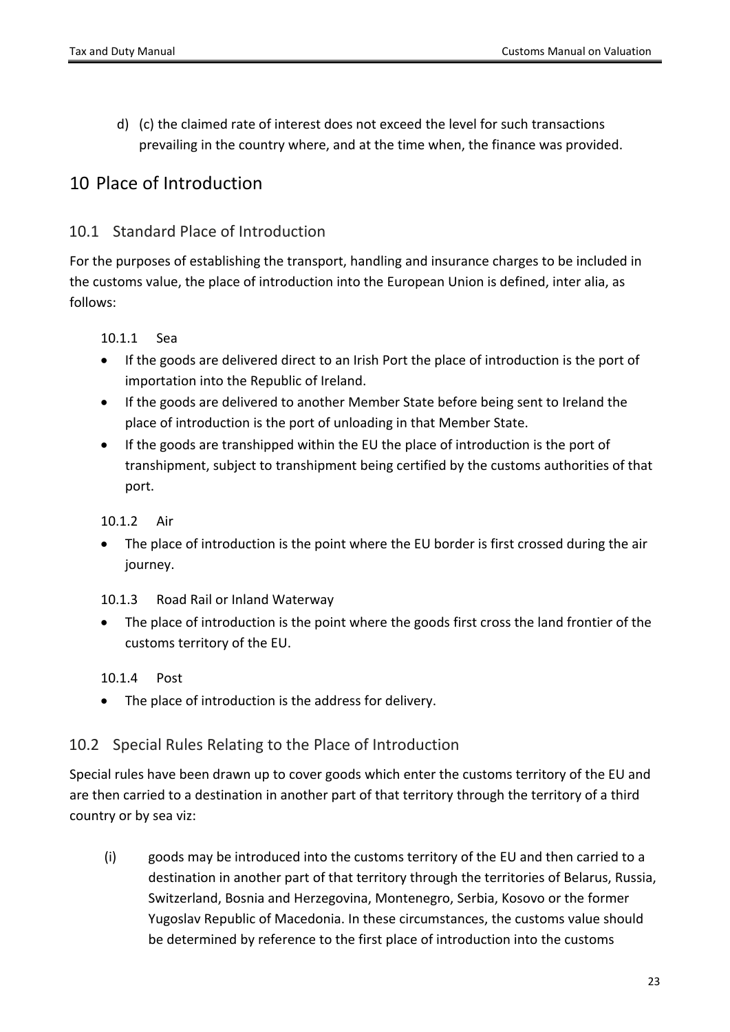d) (c) the claimed rate of interest does not exceed the level for such transactions prevailing in the country where, and at the time when, the finance was provided.

# <span id="page-22-0"></span>10 Place of Introduction

### <span id="page-22-1"></span>10.1 Standard Place of Introduction

For the purposes of establishing the transport, handling and insurance charges to be included in the customs value, the place of introduction into the European Union is defined, inter alia, as follows:

#### 10.1.1 Sea

- If the goods are delivered direct to an Irish Port the place of introduction is the port of importation into the Republic of Ireland.
- If the goods are delivered to another Member State before being sent to Ireland the place of introduction is the port of unloading in that Member State.
- If the goods are transhipped within the EU the place of introduction is the port of transhipment, subject to transhipment being certified by the customs authorities of that port.

#### 10.1.2 Air

 The place of introduction is the point where the EU border is first crossed during the air journey.

#### 10.1.3 Road Rail or Inland Waterway

 The place of introduction is the point where the goods first cross the land frontier of the customs territory of the EU.

#### 10.1.4 Post

The place of introduction is the address for delivery.

### <span id="page-22-2"></span>10.2 Special Rules Relating to the Place of Introduction

Special rules have been drawn up to cover goods which enter the customs territory of the EU and are then carried to a destination in another part of that territory through the territory of a third country or by sea viz:

(i) goods may be introduced into the customs territory of the EU and then carried to a destination in another part of that territory through the territories of Belarus, Russia, Switzerland, Bosnia and Herzegovina, Montenegro, Serbia, Kosovo or the former Yugoslav Republic of Macedonia. In these circumstances, the customs value should be determined by reference to the first place of introduction into the customs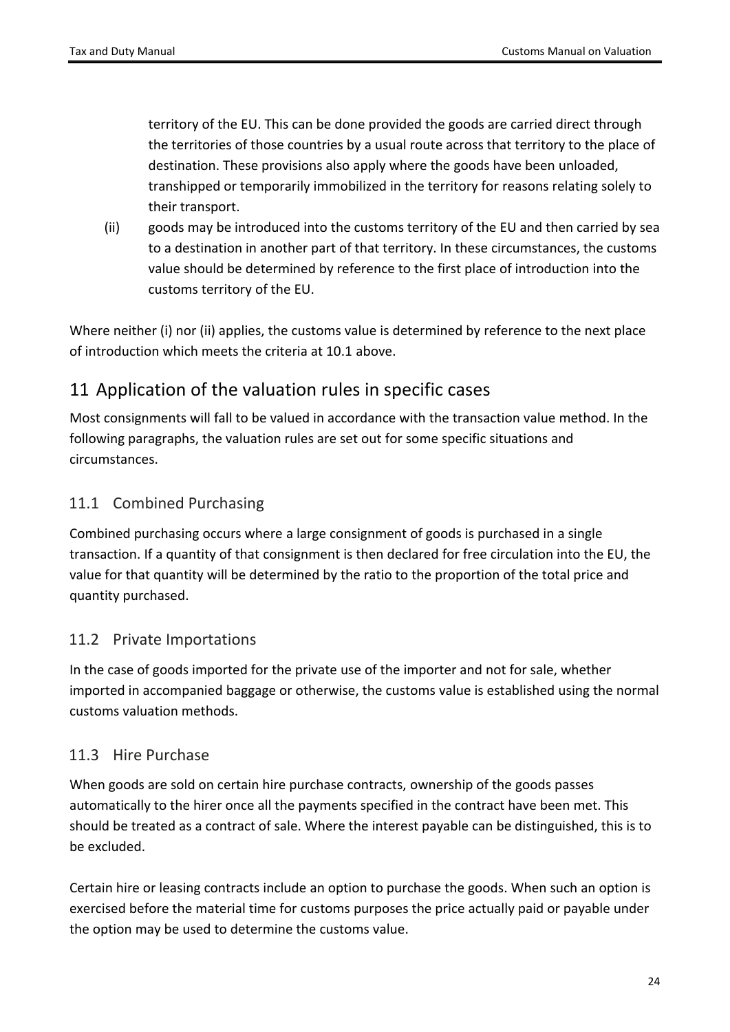territory of the EU. This can be done provided the goods are carried direct through the territories of those countries by a usual route across that territory to the place of destination. These provisions also apply where the goods have been unloaded, transhipped or temporarily immobilized in the territory for reasons relating solely to their transport.

(ii) goods may be introduced into the customs territory of the EU and then carried by sea to a destination in another part of that territory. In these circumstances, the customs value should be determined by reference to the first place of introduction into the customs territory of the EU.

Where neither (i) nor (ii) applies, the customs value is determined by reference to the next place of introduction which meets the criteria at 10.1 above.

# <span id="page-23-0"></span>11 Application of the valuation rules in specific cases

Most consignments will fall to be valued in accordance with the transaction value method. In the following paragraphs, the valuation rules are set out for some specific situations and circumstances.

## <span id="page-23-1"></span>11.1 Combined Purchasing

Combined purchasing occurs where a large consignment of goods is purchased in a single transaction. If a quantity of that consignment is then declared for free circulation into the EU, the value for that quantity will be determined by the ratio to the proportion of the total price and quantity purchased.

## <span id="page-23-2"></span>11.2 Private Importations

In the case of goods imported for the private use of the importer and not for sale, whether imported in accompanied baggage or otherwise, the customs value is established using the normal customs valuation methods.

## <span id="page-23-3"></span>11.3 Hire Purchase

When goods are sold on certain hire purchase contracts, ownership of the goods passes automatically to the hirer once all the payments specified in the contract have been met. This should be treated as a contract of sale. Where the interest payable can be distinguished, this is to be excluded.

Certain hire or leasing contracts include an option to purchase the goods. When such an option is exercised before the material time for customs purposes the price actually paid or payable under the option may be used to determine the customs value.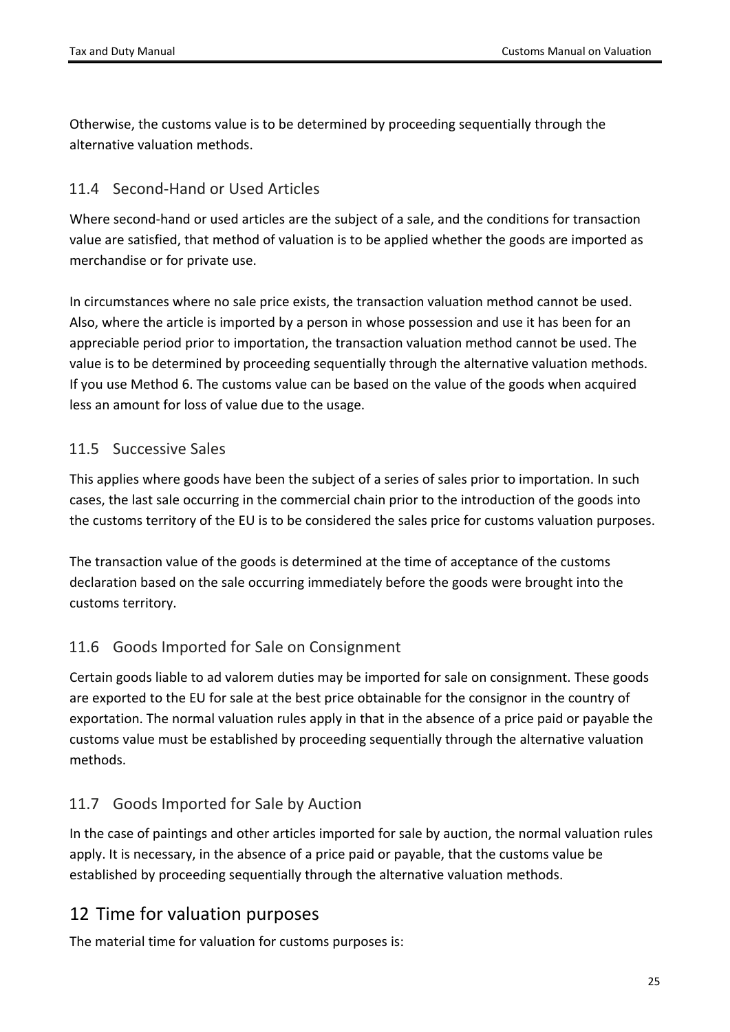Otherwise, the customs value is to be determined by proceeding sequentially through the alternative valuation methods.

## <span id="page-24-0"></span>11.4 Second-Hand or Used Articles

Where second-hand or used articles are the subject of a sale, and the conditions for transaction value are satisfied, that method of valuation is to be applied whether the goods are imported as merchandise or for private use.

In circumstances where no sale price exists, the transaction valuation method cannot be used. Also, where the article is imported by a person in whose possession and use it has been for an appreciable period prior to importation, the transaction valuation method cannot be used. The value is to be determined by proceeding sequentially through the alternative valuation methods. If you use Method 6. The customs value can be based on the value of the goods when acquired less an amount for loss of value due to the usage.

## <span id="page-24-1"></span>11.5 Successive Sales

This applies where goods have been the subject of a series of sales prior to importation. In such cases, the last sale occurring in the commercial chain prior to the introduction of the goods into the customs territory of the EU is to be considered the sales price for customs valuation purposes.

The transaction value of the goods is determined at the time of acceptance of the customs declaration based on the sale occurring immediately before the goods were brought into the customs territory.

## <span id="page-24-2"></span>11.6 Goods Imported for Sale on Consignment

Certain goods liable to ad valorem duties may be imported for sale on consignment. These goods are exported to the EU for sale at the best price obtainable for the consignor in the country of exportation. The normal valuation rules apply in that in the absence of a price paid or payable the customs value must be established by proceeding sequentially through the alternative valuation methods.

## <span id="page-24-3"></span>11.7 Goods Imported for Sale by Auction

In the case of paintings and other articles imported for sale by auction, the normal valuation rules apply. It is necessary, in the absence of a price paid or payable, that the customs value be established by proceeding sequentially through the alternative valuation methods.

# <span id="page-24-4"></span>12 Time for valuation purposes

The material time for valuation for customs purposes is: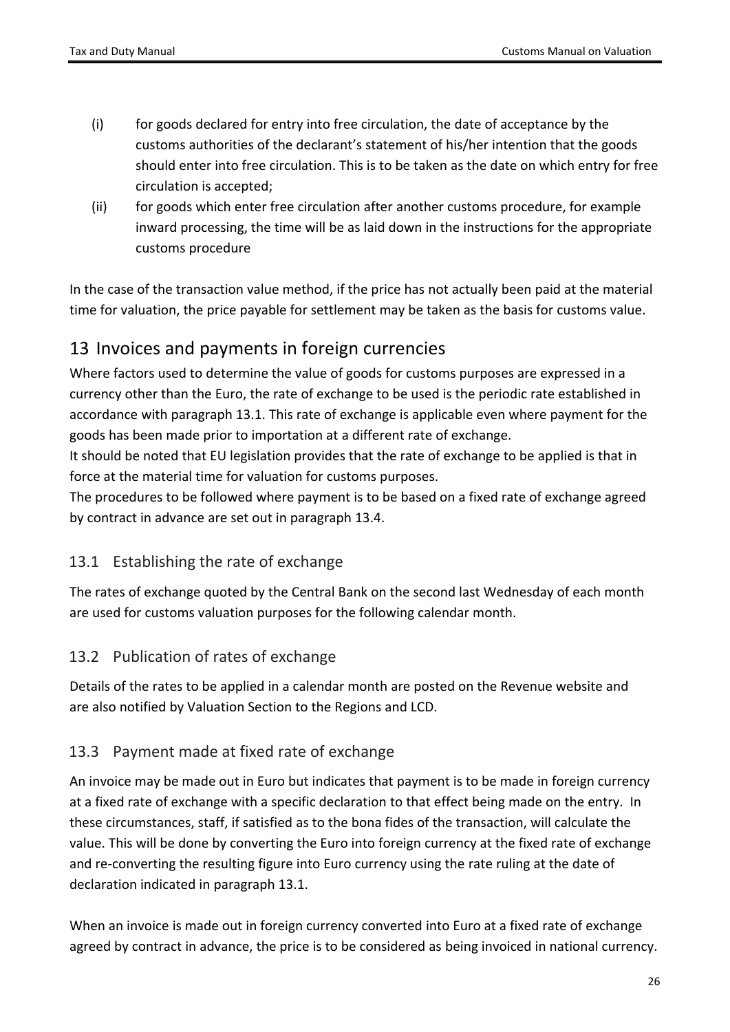- (i) for goods declared for entry into free circulation, the date of acceptance by the customs authorities of the declarant's statement of his/her intention that the goods should enter into free circulation. This is to be taken as the date on which entry for free circulation is accepted;
- (ii) for goods which enter free circulation after another customs procedure, for example inward processing, the time will be as laid down in the instructions for the appropriate customs procedure

In the case of the transaction value method, if the price has not actually been paid at the material time for valuation, the price payable for settlement may be taken as the basis for customs value.

# <span id="page-25-0"></span>13 Invoices and payments in foreign currencies

Where factors used to determine the value of goods for customs purposes are expressed in a currency other than the Euro, the rate of exchange to be used is the periodic rate established in accordance with paragraph 13.1. This rate of exchange is applicable even where payment for the goods has been made prior to importation at a different rate of exchange.

It should be noted that EU legislation provides that the rate of exchange to be applied is that in force at the material time for valuation for customs purposes.

The procedures to be followed where payment is to be based on a fixed rate of exchange agreed by contract in advance are set out in paragraph 13.4.

## <span id="page-25-1"></span>13.1 Establishing the rate of exchange

The rates of exchange quoted by the Central Bank on the second last Wednesday of each month are used for customs valuation purposes for the following calendar month.

## <span id="page-25-2"></span>13.2 Publication of rates of exchange

Details of the rates to be applied in a calendar month are posted on the Revenue website and are also notified by Valuation Section to the Regions and LCD.

## <span id="page-25-3"></span>13.3 Payment made at fixed rate of exchange

An invoice may be made out in Euro but indicates that payment is to be made in foreign currency at a fixed rate of exchange with a specific declaration to that effect being made on the entry. In these circumstances, staff, if satisfied as to the bona fides of the transaction, will calculate the value. This will be done by converting the Euro into foreign currency at the fixed rate of exchange and re-converting the resulting figure into Euro currency using the rate ruling at the date of declaration indicated in paragraph 13.1.

When an invoice is made out in foreign currency converted into Euro at a fixed rate of exchange agreed by contract in advance, the price is to be considered as being invoiced in national currency.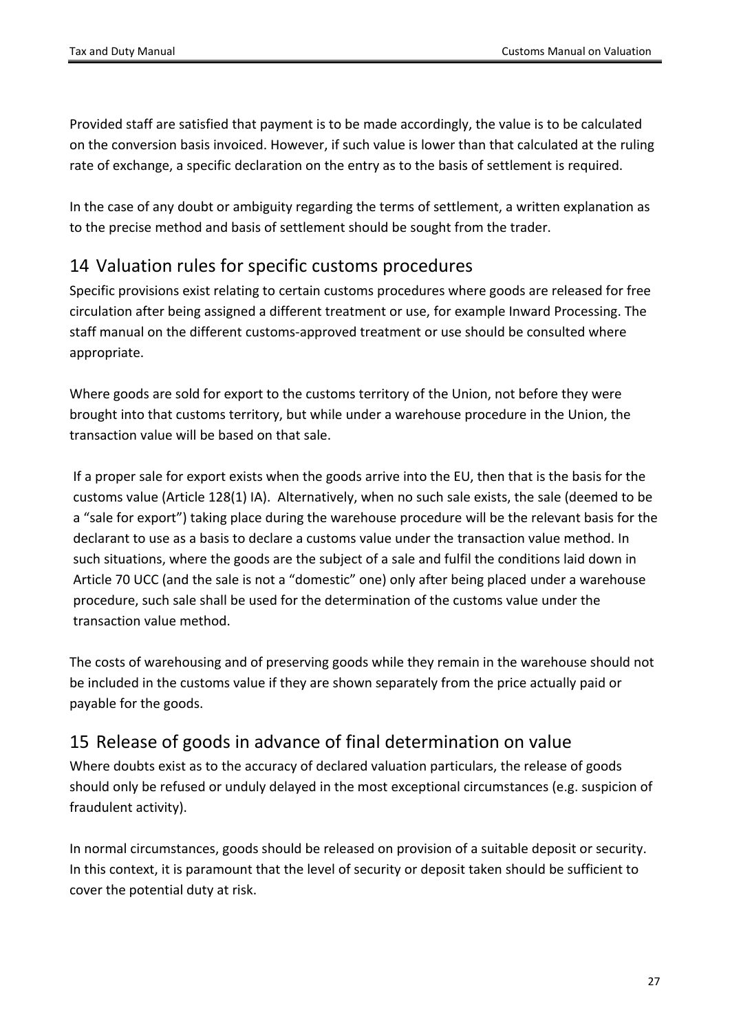Provided staff are satisfied that payment is to be made accordingly, the value is to be calculated on the conversion basis invoiced. However, if such value is lower than that calculated at the ruling rate of exchange, a specific declaration on the entry as to the basis of settlement is required.

In the case of any doubt or ambiguity regarding the terms of settlement, a written explanation as to the precise method and basis of settlement should be sought from the trader.

# <span id="page-26-0"></span>14 Valuation rules for specific customs procedures

Specific provisions exist relating to certain customs procedures where goods are released for free circulation after being assigned a different treatment or use, for example Inward Processing. The staff manual on the different customs-approved treatment or use should be consulted where appropriate.

Where goods are sold for export to the customs territory of the Union, not before they were brought into that customs territory, but while under a warehouse procedure in the Union, the transaction value will be based on that sale.

If a proper sale for export exists when the goods arrive into the EU, then that is the basis for the customs value (Article 128(1) IA). Alternatively, when no such sale exists, the sale (deemed to be a "sale for export") taking place during the warehouse procedure will be the relevant basis for the declarant to use as a basis to declare a customs value under the transaction value method. In such situations, where the goods are the subject of a sale and fulfil the conditions laid down in Article 70 UCC (and the sale is not a "domestic" one) only after being placed under a warehouse procedure, such sale shall be used for the determination of the customs value under the transaction value method.

The costs of warehousing and of preserving goods while they remain in the warehouse should not be included in the customs value if they are shown separately from the price actually paid or payable for the goods.

# <span id="page-26-1"></span>15 Release of goods in advance of final determination on value

Where doubts exist as to the accuracy of declared valuation particulars, the release of goods should only be refused or unduly delayed in the most exceptional circumstances (e.g. suspicion of fraudulent activity).

In normal circumstances, goods should be released on provision of a suitable deposit or security. In this context, it is paramount that the level of security or deposit taken should be sufficient to cover the potential duty at risk.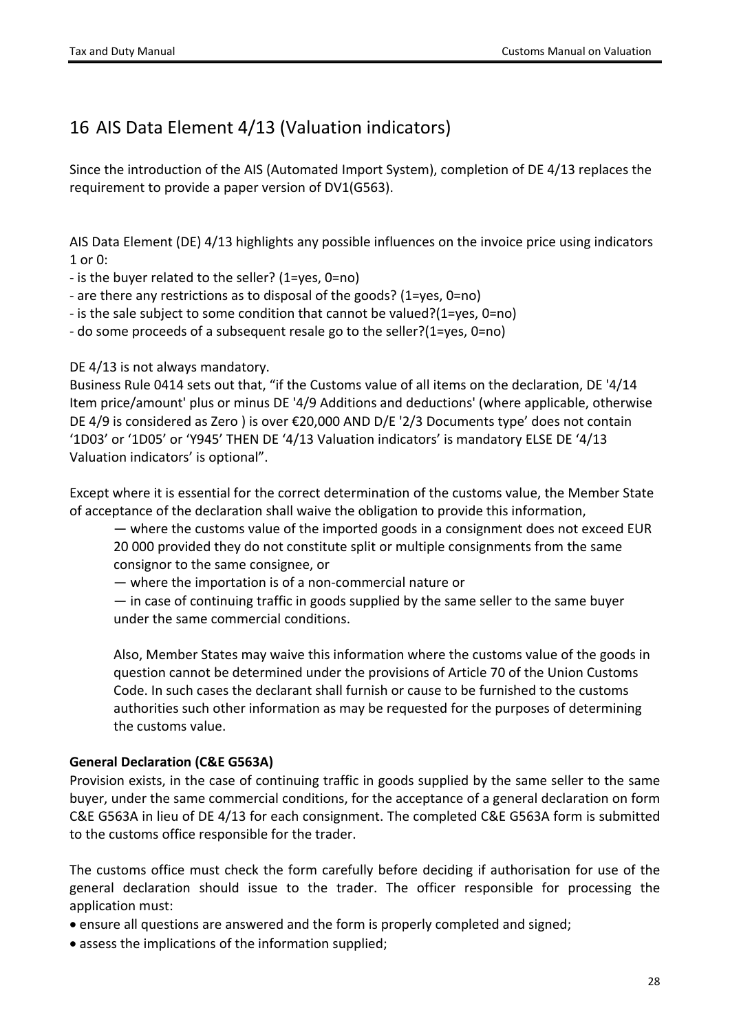# <span id="page-27-0"></span>16 AIS Data Element 4/13 (Valuation indicators)

Since the introduction of the AIS (Automated Import System), completion of DE 4/13 replaces the requirement to provide a paper version of DV1(G563).

AIS Data Element (DE) 4/13 highlights any possible influences on the invoice price using indicators 1 or 0:

- is the buyer related to the seller? (1=yes, 0=no)

- are there any restrictions as to disposal of the goods? (1=yes, 0=no)

- is the sale subject to some condition that cannot be valued?(1=yes, 0=no)

- do some proceeds of a subsequent resale go to the seller?(1=yes, 0=no)

DE 4/13 is not always mandatory.

Business Rule 0414 sets out that, "if the Customs value of all items on the declaration, DE '4/14 Item price/amount' plus or minus DE '4/9 Additions and deductions' (where applicable, otherwise DE 4/9 is considered as Zero ) is over €20,000 AND D/E '2/3 Documents type' does not contain '1D03' or '1D05' or 'Y945' THEN DE '4/13 Valuation indicators' is mandatory ELSE DE '4/13 Valuation indicators' is optional".

Except where it is essential for the correct determination of the customs value, the Member State of acceptance of the declaration shall waive the obligation to provide this information,

— where the customs value of the imported goods in a consignment does not exceed EUR 20 000 provided they do not constitute split or multiple consignments from the same consignor to the same consignee, or

— where the importation is of a non-commercial nature or

— in case of continuing traffic in goods supplied by the same seller to the same buyer under the same commercial conditions.

Also, Member States may waive this information where the customs value of the goods in question cannot be determined under the provisions of Article 70 of the Union Customs Code. In such cases the declarant shall furnish or cause to be furnished to the customs authorities such other information as may be requested for the purposes of determining the customs value.

#### **General Declaration (C&E G563A)**

Provision exists, in the case of continuing traffic in goods supplied by the same seller to the same buyer, under the same commercial conditions, for the acceptance of a general declaration on form C&E G563A in lieu of DE 4/13 for each consignment. The completed C&E G563A form is submitted to the customs office responsible for the trader.

The customs office must check the form carefully before deciding if authorisation for use of the general declaration should issue to the trader. The officer responsible for processing the application must:

ensure all questions are answered and the form is properly completed and signed;

• assess the implications of the information supplied;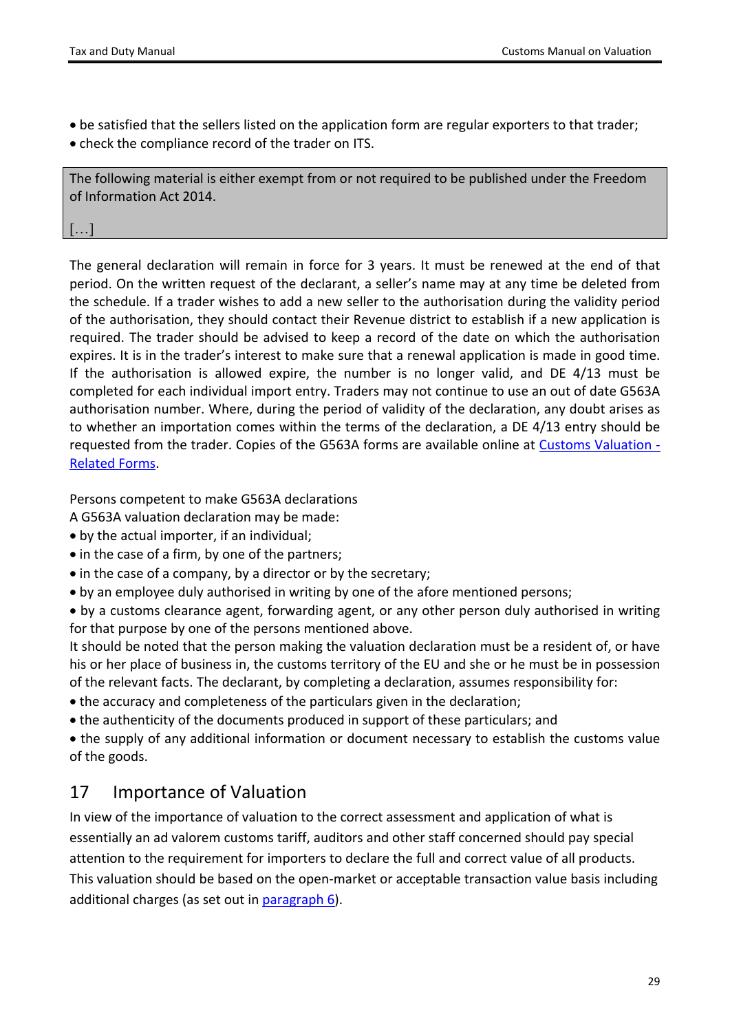- be satisfied that the sellers listed on the application form are regular exporters to that trader;
- check the compliance record of the trader on ITS.

The following material is either exempt from or not required to be published under the Freedom of Information Act 2014.

[…]

The general declaration will remain in force for 3 years. It must be renewed at the end of that period. On the written request of the declarant, a seller's name may at any time be deleted from the schedule. If a trader wishes to add a new seller to the authorisation during the validity period of the authorisation, they should contact their Revenue district to establish if a new application is required. The trader should be advised to keep a record of the date on which the authorisation expires. It is in the trader's interest to make sure that a renewal application is made in good time. If the authorisation is allowed expire, the number is no longer valid, and DE 4/13 must be completed for each individual import entry. Traders may not continue to use an out of date G563A authorisation number. Where, during the period of validity of the declaration, any doubt arises as to whether an importation comes within the terms of the declaration, a DE 4/13 entry should be requested from the trader. Copies of the G563A forms are available online at [Customs](https://www.revenue.ie/en/customs-traders-and-agents/importing-and-exporting/customs-valuation/index.aspx) [Valuation](https://www.revenue.ie/en/customs-traders-and-agents/importing-and-exporting/customs-valuation/index.aspx) [-](https://www.revenue.ie/en/customs-traders-and-agents/importing-and-exporting/customs-valuation/index.aspx) [Related](https://www.revenue.ie/en/customs-traders-and-agents/importing-and-exporting/customs-valuation/index.aspx) [Forms](https://www.revenue.ie/en/customs-traders-and-agents/importing-and-exporting/customs-valuation/index.aspx).

Persons competent to make G563A declarations

A G563A valuation declaration may be made:

- by the actual importer, if an individual;
- in the case of a firm, by one of the partners;
- in the case of a company, by a director or by the secretary;
- by an employee duly authorised in writing by one of the afore mentioned persons;

 by a customs clearance agent, forwarding agent, or any other person duly authorised in writing for that purpose by one of the persons mentioned above.

It should be noted that the person making the valuation declaration must be a resident of, or have his or her place of business in, the customs territory of the EU and she or he must be in possession of the relevant facts. The declarant, by completing a declaration, assumes responsibility for:

- the accuracy and completeness of the particulars given in the declaration;
- the authenticity of the documents produced in support of these particulars; and

 the supply of any additional information or document necessary to establish the customs value of the goods.

## <span id="page-28-0"></span>17 Importance of Valuation

In view of the importance of valuation to the correct assessment and application of what is essentially an ad valorem customs tariff, auditors and other staff concerned should pay special attention to the requirement for importers to declare the full and correct value of all products. This valuation should be based on the open-market or acceptable transaction value basis including additional charges (as set out in [paragraph](#page-17-2) [6](#page-17-2)).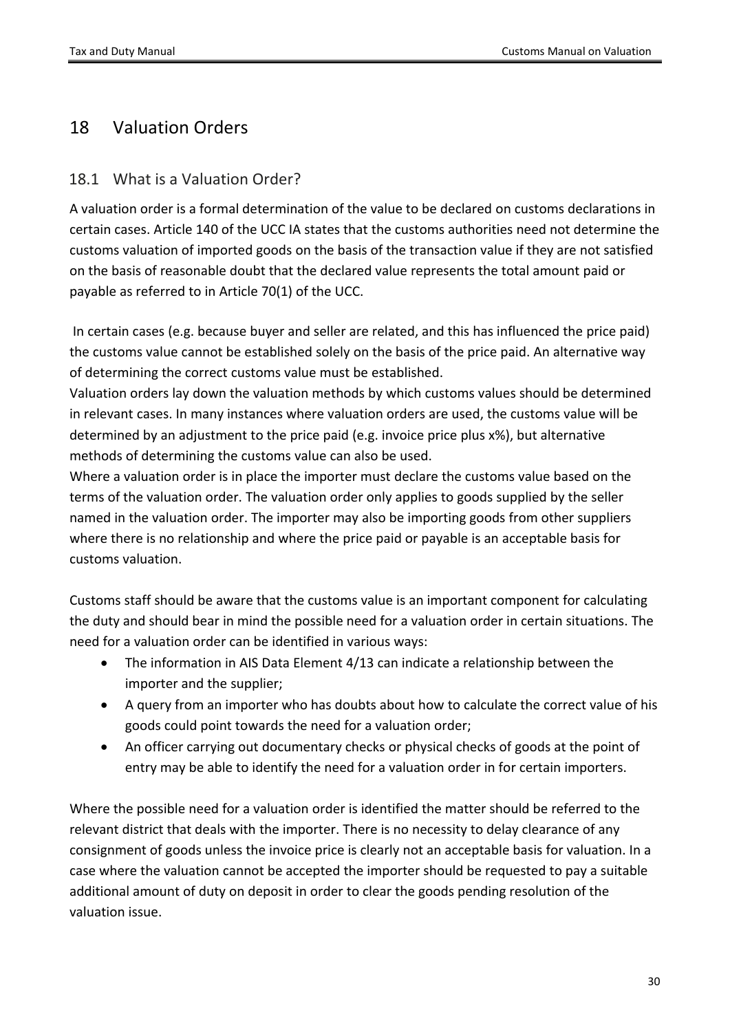## <span id="page-29-0"></span>18 Valuation Orders

## <span id="page-29-1"></span>18.1 What is a Valuation Order?

A valuation order is a formal determination of the value to be declared on customs declarations in certain cases. Article 140 of the UCC IA states that the customs authorities need not determine the customs valuation of imported goods on the basis of the transaction value if they are not satisfied on the basis of reasonable doubt that the declared value represents the total amount paid or payable as referred to in Article 70(1) of the UCC.

In certain cases (e.g. because buyer and seller are related, and this has influenced the price paid) the customs value cannot be established solely on the basis of the price paid. An alternative way of determining the correct customs value must be established.

Valuation orders lay down the valuation methods by which customs values should be determined in relevant cases. In many instances where valuation orders are used, the customs value will be determined by an adjustment to the price paid (e.g. invoice price plus x%), but alternative methods of determining the customs value can also be used.

Where a valuation order is in place the importer must declare the customs value based on the terms of the valuation order. The valuation order only applies to goods supplied by the seller named in the valuation order. The importer may also be importing goods from other suppliers where there is no relationship and where the price paid or payable is an acceptable basis for customs valuation.

Customs staff should be aware that the customs value is an important component for calculating the duty and should bear in mind the possible need for a valuation order in certain situations. The need for a valuation order can be identified in various ways:

- The information in AIS Data Element 4/13 can indicate a relationship between the importer and the supplier;
- A query from an importer who has doubts about how to calculate the correct value of his goods could point towards the need for a valuation order;
- An officer carrying out documentary checks or physical checks of goods at the point of entry may be able to identify the need for a valuation order in for certain importers.

Where the possible need for a valuation order is identified the matter should be referred to the relevant district that deals with the importer. There is no necessity to delay clearance of any consignment of goods unless the invoice price is clearly not an acceptable basis for valuation. In a case where the valuation cannot be accepted the importer should be requested to pay a suitable additional amount of duty on deposit in order to clear the goods pending resolution of the valuation issue.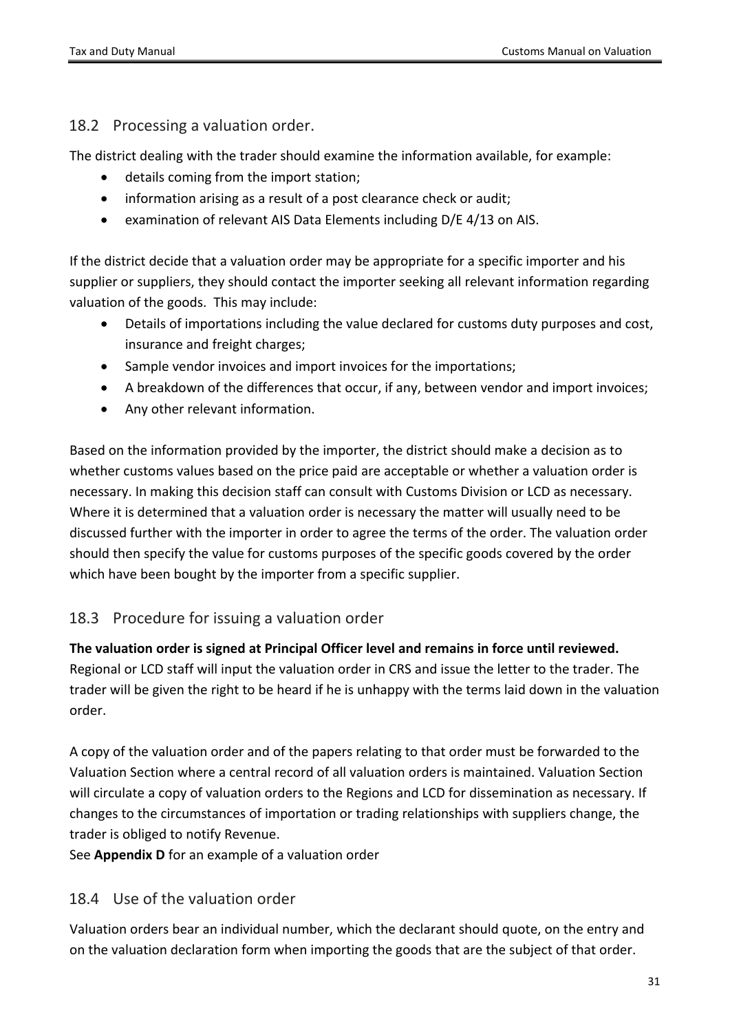### <span id="page-30-0"></span>18.2 Processing a valuation order.

The district dealing with the trader should examine the information available, for example:

- details coming from the import station;
- information arising as a result of a post clearance check or audit;
- examination of relevant AIS Data Elements including D/E 4/13 on AIS.

If the district decide that a valuation order may be appropriate for a specific importer and his supplier or suppliers, they should contact the importer seeking all relevant information regarding valuation of the goods. This may include:

- Details of importations including the value declared for customs duty purposes and cost, insurance and freight charges;
- Sample vendor invoices and import invoices for the importations;
- A breakdown of the differences that occur, if any, between vendor and import invoices;
- Any other relevant information.

Based on the information provided by the importer, the district should make a decision as to whether customs values based on the price paid are acceptable or whether a valuation order is necessary. In making this decision staff can consult with Customs Division or LCD as necessary. Where it is determined that a valuation order is necessary the matter will usually need to be discussed further with the importer in order to agree the terms of the order. The valuation order should then specify the value for customs purposes of the specific goods covered by the order which have been bought by the importer from a specific supplier.

## <span id="page-30-1"></span>18.3 Procedure for issuing a valuation order

**The valuation order is signed at Principal Officer level and remains in force until reviewed.** Regional or LCD staff will input the valuation order in CRS and issue the letter to the trader. The trader will be given the right to be heard if he is unhappy with the terms laid down in the valuation order.

A copy of the valuation order and of the papers relating to that order must be forwarded to the Valuation Section where a central record of all valuation orders is maintained. Valuation Section will circulate a copy of valuation orders to the Regions and LCD for dissemination as necessary. If changes to the circumstances of importation or trading relationships with suppliers change, the trader is obliged to notify Revenue.

<span id="page-30-2"></span>See **Appendix D** for an example of a valuation order

## 18.4 Use of the valuation order

Valuation orders bear an individual number, which the declarant should quote, on the entry and on the valuation declaration form when importing the goods that are the subject of that order.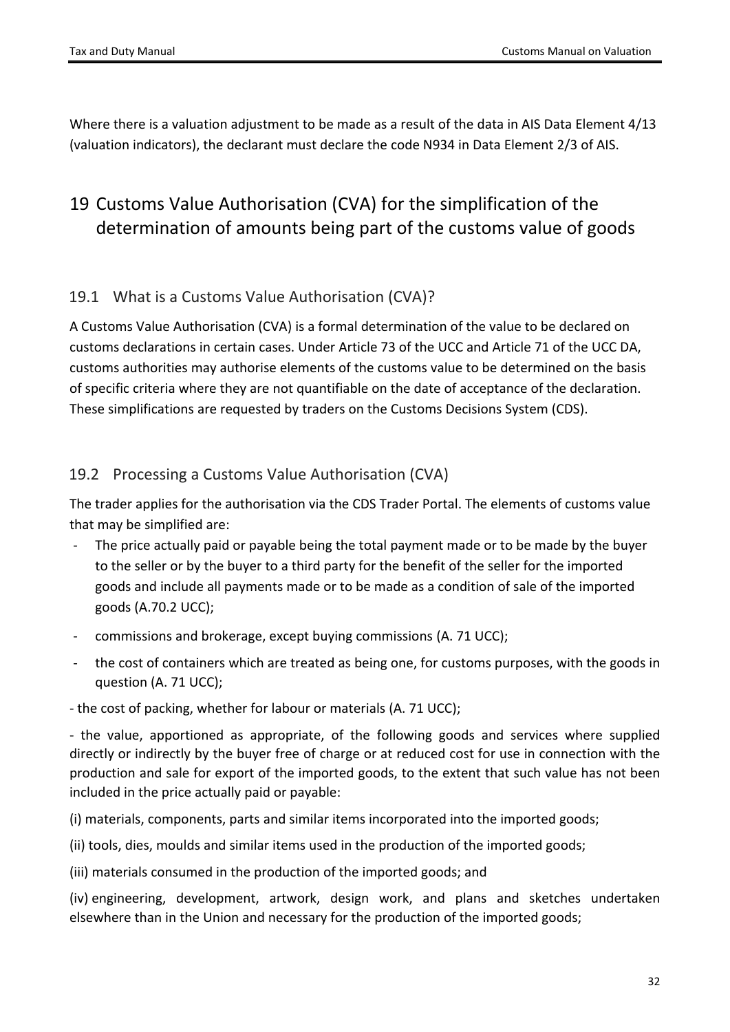Where there is a valuation adjustment to be made as a result of the data in AIS Data Element 4/13 (valuation indicators), the declarant must declare the code N934 in Data Element 2/3 of AIS.

# <span id="page-31-0"></span>19 Customs Value Authorisation (CVA) for the simplification of the determination of amounts being part of the customs value of goods

### <span id="page-31-1"></span>19.1 What is a Customs Value Authorisation (CVA)?

A Customs Value Authorisation (CVA) is a formal determination of the value to be declared on customs declarations in certain cases. Under Article 73 of the UCC and Article 71 of the UCC DA, customs authorities may authorise elements of the customs value to be determined on the basis of specific criteria where they are not quantifiable on the date of acceptance of the declaration. These simplifications are requested by traders on the Customs Decisions System (CDS).

## <span id="page-31-2"></span>19.2 Processing a Customs Value Authorisation (CVA)

The trader applies for the authorisation via the CDS Trader Portal. The elements of customs value that may be simplified are:

- The price actually paid or payable being the total payment made or to be made by the buyer to the seller or by the buyer to a third party for the benefit of the seller for the imported goods and include all payments made or to be made as a condition of sale of the imported goods (A.70.2 UCC);
- commissions and brokerage, except buying commissions (A. 71 UCC);
- the cost of containers which are treated as being one, for customs purposes, with the goods in question (A. 71 UCC);
- the cost of packing, whether for labour or materials (A. 71 UCC);

- the value, apportioned as appropriate, of the following goods and services where supplied directly or indirectly by the buyer free of charge or at reduced cost for use in connection with the production and sale for export of the imported goods, to the extent that such value has not been included in the price actually paid or payable:

(i) materials, components, parts and similar items incorporated into the imported goods;

(ii) tools, dies, moulds and similar items used in the production of the imported goods;

(iii) materials consumed in the production of the imported goods; and

(iv) engineering, development, artwork, design work, and plans and sketches undertaken elsewhere than in the Union and necessary for the production of the imported goods;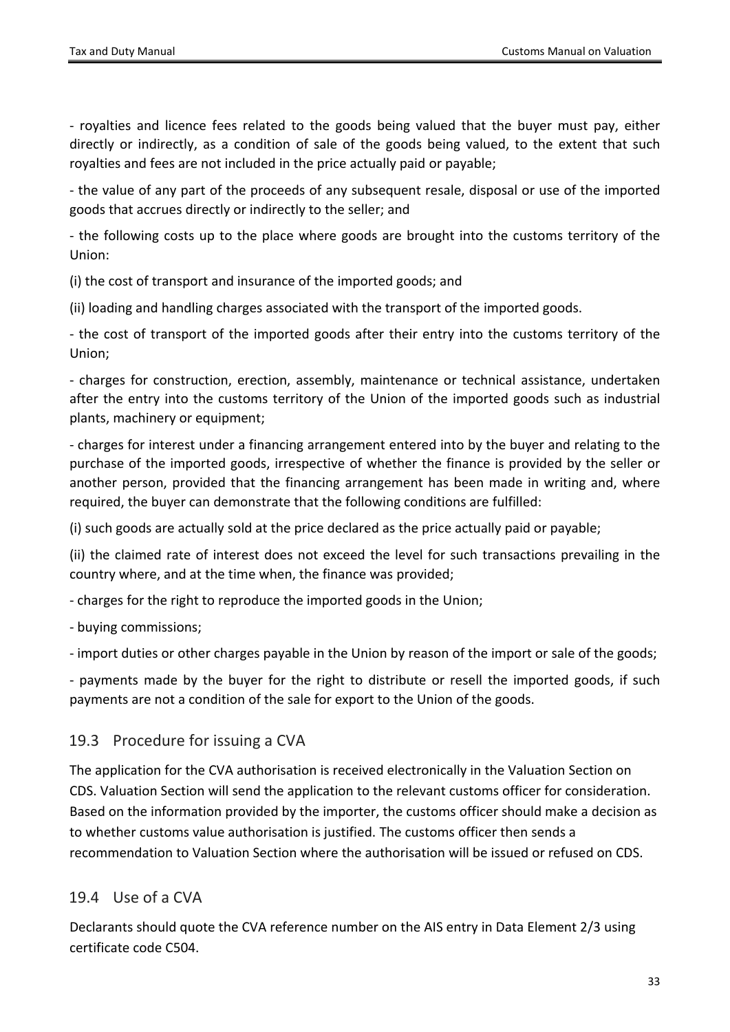- royalties and licence fees related to the goods being valued that the buyer must pay, either directly or indirectly, as a condition of sale of the goods being valued, to the extent that such royalties and fees are not included in the price actually paid or payable;

- the value of any part of the proceeds of any subsequent resale, disposal or use of the imported goods that accrues directly or indirectly to the seller; and

- the following costs up to the place where goods are brought into the customs territory of the Union:

(i) the cost of transport and insurance of the imported goods; and

(ii) loading and handling charges associated with the transport of the imported goods.

- the cost of transport of the imported goods after their entry into the customs territory of the Union;

- charges for construction, erection, assembly, maintenance or technical assistance, undertaken after the entry into the customs territory of the Union of the imported goods such as industrial plants, machinery or equipment;

- charges for interest under a financing arrangement entered into by the buyer and relating to the purchase of the imported goods, irrespective of whether the finance is provided by the seller or another person, provided that the financing arrangement has been made in writing and, where required, the buyer can demonstrate that the following conditions are fulfilled:

(i) such goods are actually sold at the price declared as the price actually paid or payable;

(ii) the claimed rate of interest does not exceed the level for such transactions prevailing in the country where, and at the time when, the finance was provided;

- charges for the right to reproduce the imported goods in the Union;

- buying commissions;

- import duties or other charges payable in the Union by reason of the import or sale of the goods;

- payments made by the buyer for the right to distribute or resell the imported goods, if such payments are not a condition of the sale for export to the Union of the goods.

### <span id="page-32-0"></span>19.3 Procedure for issuing a CVA

The application for the CVA authorisation is received electronically in the Valuation Section on CDS. Valuation Section will send the application to the relevant customs officer for consideration. Based on the information provided by the importer, the customs officer should make a decision as to whether customs value authorisation is justified. The customs officer then sends a recommendation to Valuation Section where the authorisation will be issued or refused on CDS.

## <span id="page-32-1"></span>19.4 Use of a CVA

Declarants should quote the CVA reference number on the AIS entry in Data Element 2/3 using certificate code C504.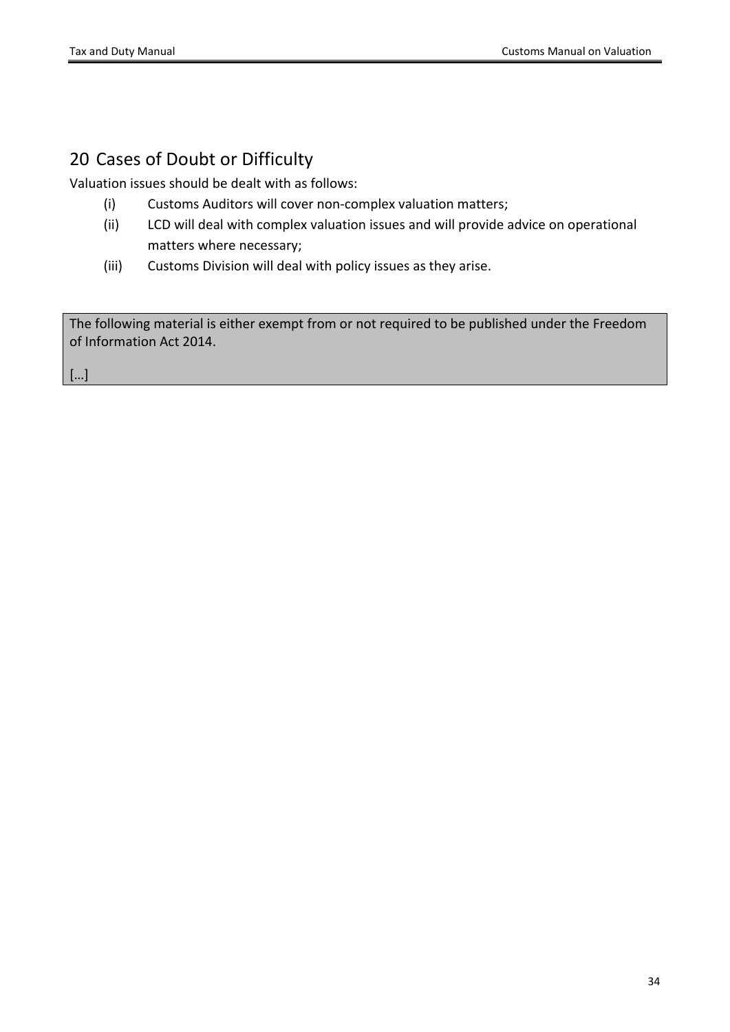# <span id="page-33-0"></span>20 Cases of Doubt or Difficulty

Valuation issues should be dealt with as follows:

- (i) Customs Auditors will cover non-complex valuation matters;
- (ii) LCD will deal with complex valuation issues and will provide advice on operational matters where necessary;
- (iii) Customs Division will deal with policy issues as they arise.

The following material is either exempt from or not required to be published under the Freedom of Information Act 2014.

[…]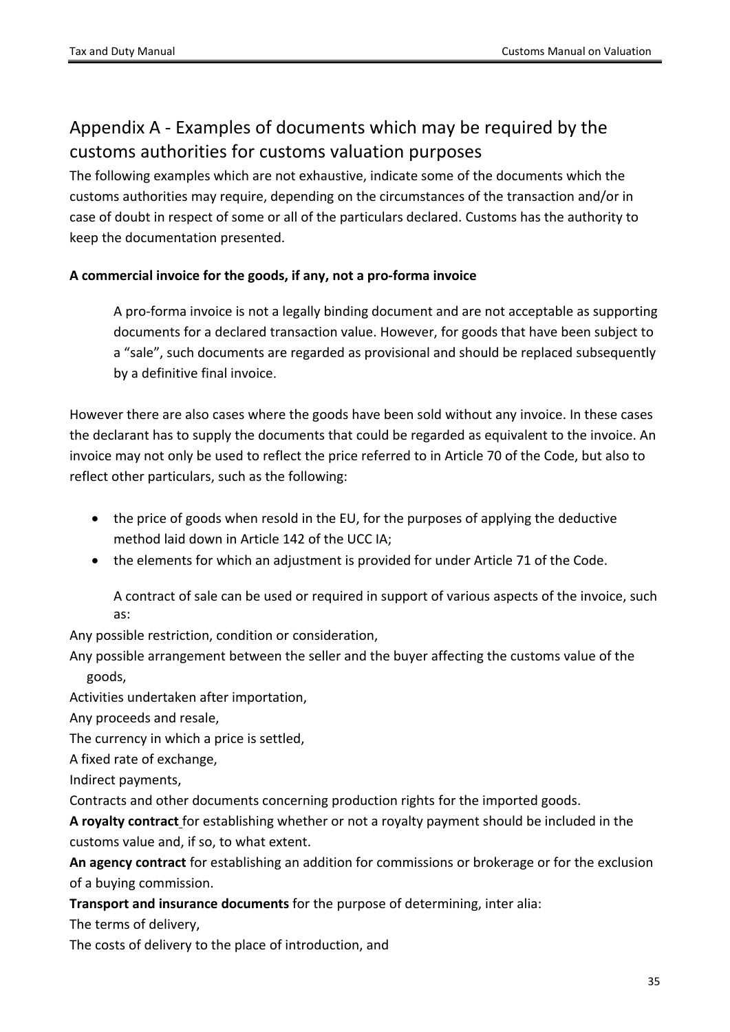# <span id="page-34-0"></span>Appendix A - Examples of documents which may be required by the customs authorities for customs valuation purposes

The following examples which are not exhaustive, indicate some of the documents which the customs authorities may require, depending on the circumstances of the transaction and/or in case of doubt in respect of some or all of the particulars declared. Customs has the authority to keep the documentation presented.

#### **A commercial invoice for the goods, if any, not a pro-forma invoice**

A pro-forma invoice is not a legally binding document and are not acceptable as supporting documents for a declared transaction value. However, for goods that have been subject to a "sale", such documents are regarded as provisional and should be replaced subsequently by a definitive final invoice.

However there are also cases where the goods have been sold without any invoice. In these cases the declarant has to supply the documents that could be regarded as equivalent to the invoice. An invoice may not only be used to reflect the price referred to in Article 70 of the Code, but also to reflect other particulars, such as the following:

- the price of goods when resold in the EU, for the purposes of applying the deductive method laid down in Article 142 of the UCC IA;
- the elements for which an adjustment is provided for under Article 71 of the Code.

A contract of sale can be used or required in support of various aspects of the invoice, such as:

Any possible restriction, condition or consideration,

Any possible arrangement between the seller and the buyer affecting the customs value of the goods,

Activities undertaken after importation,

Any proceeds and resale,

The currency in which a price is settled,

A fixed rate of exchange,

Indirect payments,

Contracts and other documents concerning production rights for the imported goods.

**A royalty contract** for establishing whether or not a royalty payment should be included in the customs value and, if so, to what extent.

**An agency contract** for establishing an addition for commissions or brokerage or for the exclusion of a buying commission.

**Transport and insurance documents** for the purpose of determining, inter alia:

The terms of delivery,

The costs of delivery to the place of introduction, and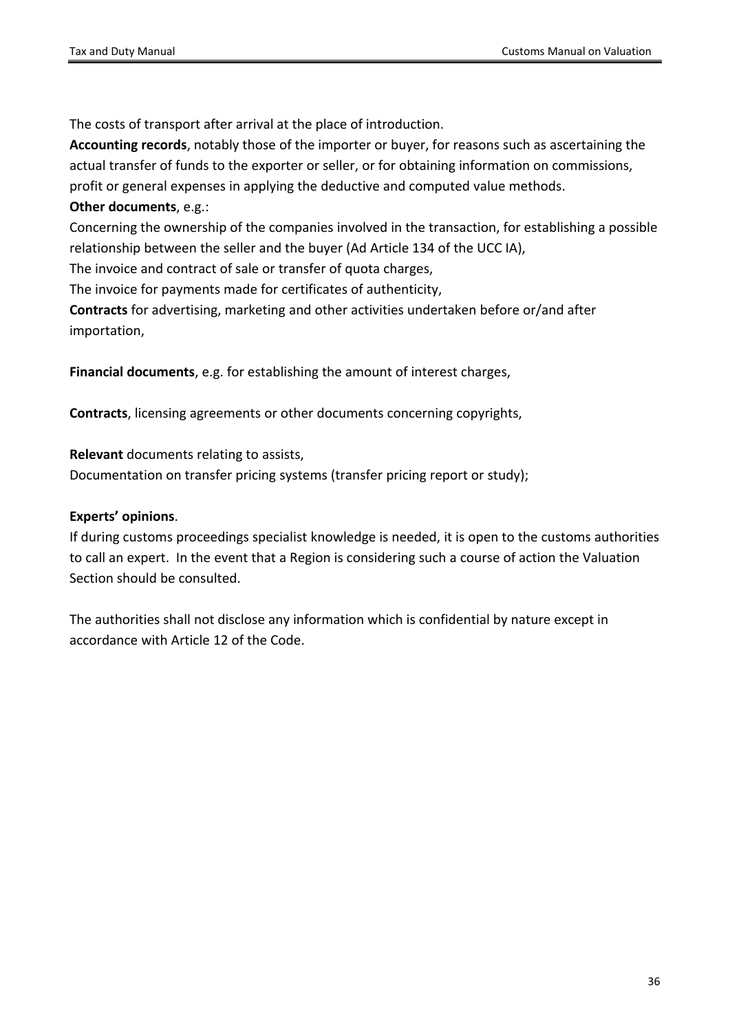The costs of transport after arrival at the place of introduction.

**Accounting records**, notably those of the importer or buyer, for reasons such as ascertaining the actual transfer of funds to the exporter or seller, or for obtaining information on commissions, profit or general expenses in applying the deductive and computed value methods.

## **Other documents**, e.g.:

Concerning the ownership of the companies involved in the transaction, for establishing a possible relationship between the seller and the buyer (Ad Article 134 of the UCC IA),

The invoice and contract of sale or transfer of quota charges,

The invoice for payments made for certificates of authenticity,

**Contracts** for advertising, marketing and other activities undertaken before or/and after importation,

**Financial documents**, e.g. for establishing the amount of interest charges,

**Contracts**, licensing agreements or other documents concerning copyrights,

**Relevant** documents relating to assists,

Documentation on transfer pricing systems (transfer pricing report or study);

#### **Experts' opinions**.

If during customs proceedings specialist knowledge is needed, it is open to the customs authorities to call an expert. In the event that a Region is considering such a course of action the Valuation Section should be consulted.

The authorities shall not disclose any information which is confidential by nature except in accordance with Article 12 of the Code.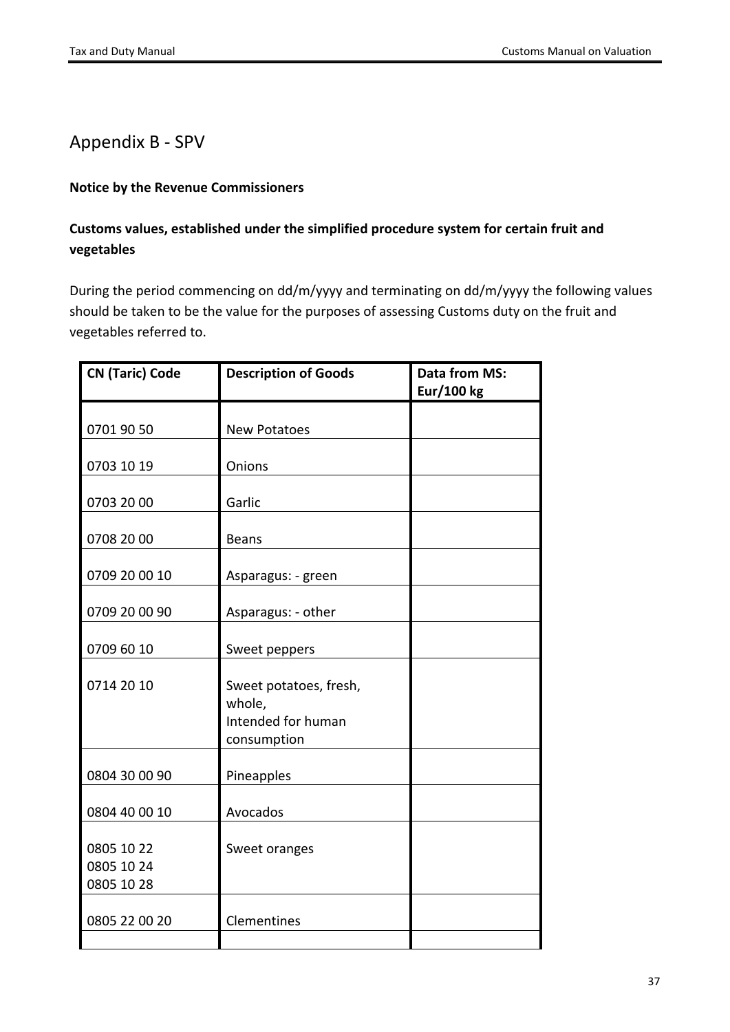## <span id="page-36-0"></span>Appendix B - SPV

#### **Notice by the Revenue Commissioners**

### **Customs values, established under the simplified procedure system for certain fruit and vegetables**

During the period commencing on dd/m/yyyy and terminating on dd/m/yyyy the following values should be taken to be the value for the purposes of assessing Customs duty on the fruit and vegetables referred to.

| <b>CN (Taric) Code</b>                 | <b>Description of Goods</b>                                           | Data from MS:<br><b>Eur/100 kg</b> |
|----------------------------------------|-----------------------------------------------------------------------|------------------------------------|
|                                        |                                                                       |                                    |
| 0701 90 50                             | <b>New Potatoes</b>                                                   |                                    |
|                                        |                                                                       |                                    |
| 0703 10 19                             | Onions                                                                |                                    |
| 0703 20 00                             | Garlic                                                                |                                    |
| 0708 20 00                             | <b>Beans</b>                                                          |                                    |
|                                        |                                                                       |                                    |
| 0709 20 00 10                          | Asparagus: - green                                                    |                                    |
|                                        |                                                                       |                                    |
| 0709 20 00 90                          | Asparagus: - other                                                    |                                    |
| 0709 60 10                             | Sweet peppers                                                         |                                    |
| 0714 20 10                             | Sweet potatoes, fresh,<br>whole,<br>Intended for human<br>consumption |                                    |
| 0804 30 00 90                          | Pineapples                                                            |                                    |
| 0804 40 00 10                          | Avocados                                                              |                                    |
| 0805 10 22<br>0805 10 24<br>0805 10 28 | Sweet oranges                                                         |                                    |
| 0805 22 00 20                          | Clementines                                                           |                                    |
|                                        |                                                                       |                                    |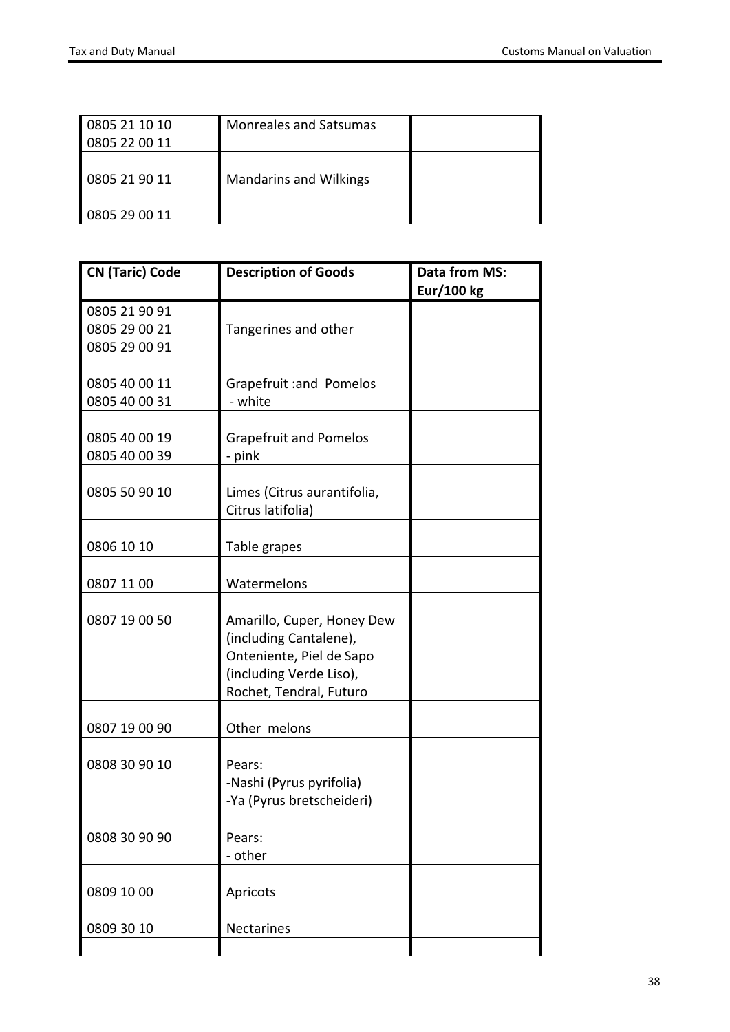| 0805 21 10 10 | <b>Monreales and Satsumas</b> |  |
|---------------|-------------------------------|--|
| 0805 22 00 11 |                               |  |
| 0805 21 90 11 | <b>Mandarins and Wilkings</b> |  |
| 0805 29 00 11 |                               |  |

| <b>CN (Taric) Code</b>                          | <b>Description of Goods</b>                                                                                                            | <b>Data from MS:</b><br>Eur/100 kg |
|-------------------------------------------------|----------------------------------------------------------------------------------------------------------------------------------------|------------------------------------|
| 0805 21 90 91<br>0805 29 00 21<br>0805 29 00 91 | Tangerines and other                                                                                                                   |                                    |
| 0805 40 00 11<br>0805 40 00 31                  | Grapefruit : and Pomelos<br>- white                                                                                                    |                                    |
| 0805 40 00 19<br>0805 40 00 39                  | <b>Grapefruit and Pomelos</b><br>- pink                                                                                                |                                    |
| 0805 50 90 10                                   | Limes (Citrus aurantifolia,<br>Citrus latifolia)                                                                                       |                                    |
| 0806 10 10                                      | Table grapes                                                                                                                           |                                    |
| 0807 11 00                                      | Watermelons                                                                                                                            |                                    |
| 0807 19 00 50                                   | Amarillo, Cuper, Honey Dew<br>(including Cantalene),<br>Onteniente, Piel de Sapo<br>(including Verde Liso),<br>Rochet, Tendral, Futuro |                                    |
| 0807 19 00 90                                   | Other melons                                                                                                                           |                                    |
| 0808 30 90 10                                   | Pears:<br>-Nashi (Pyrus pyrifolia)<br>-Ya (Pyrus bretscheideri)                                                                        |                                    |
| 0808 30 90 90                                   | Pears:<br>- other                                                                                                                      |                                    |
| 0809 10 00                                      | Apricots                                                                                                                               |                                    |
| 0809 30 10                                      | Nectarines                                                                                                                             |                                    |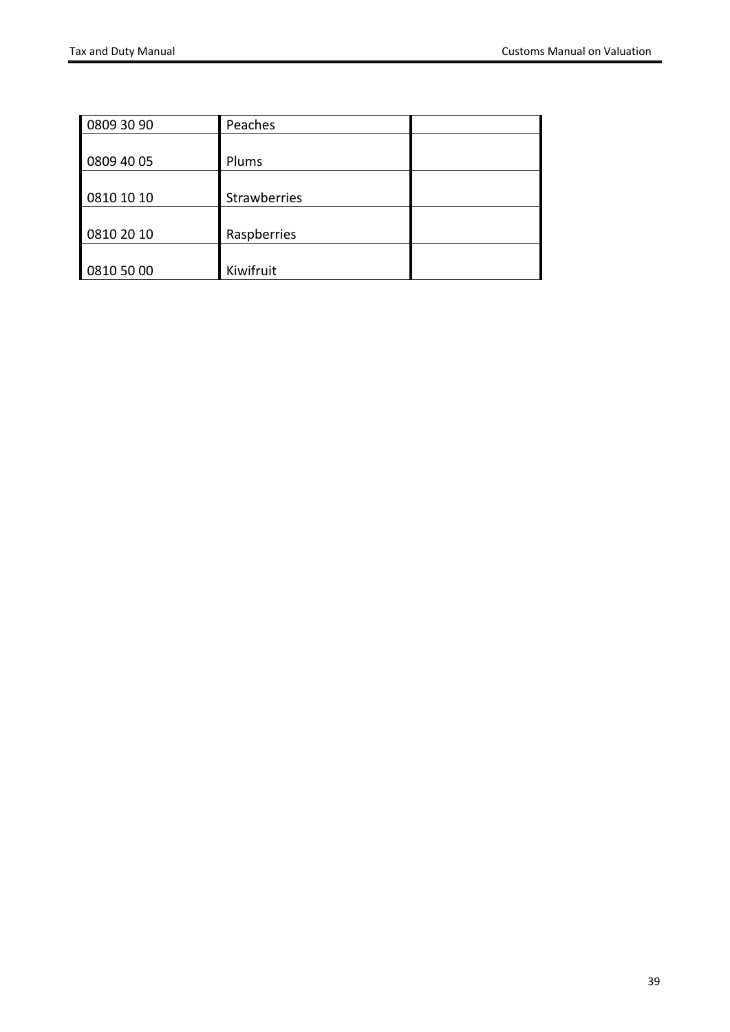<span id="page-38-0"></span>

| 0809 30 90 | Peaches             |  |
|------------|---------------------|--|
|            |                     |  |
| 0809 40 05 | Plums               |  |
|            |                     |  |
| 0810 10 10 | <b>Strawberries</b> |  |
|            |                     |  |
| 0810 20 10 | Raspberries         |  |
|            |                     |  |
| 0810 50 00 | Kiwifruit           |  |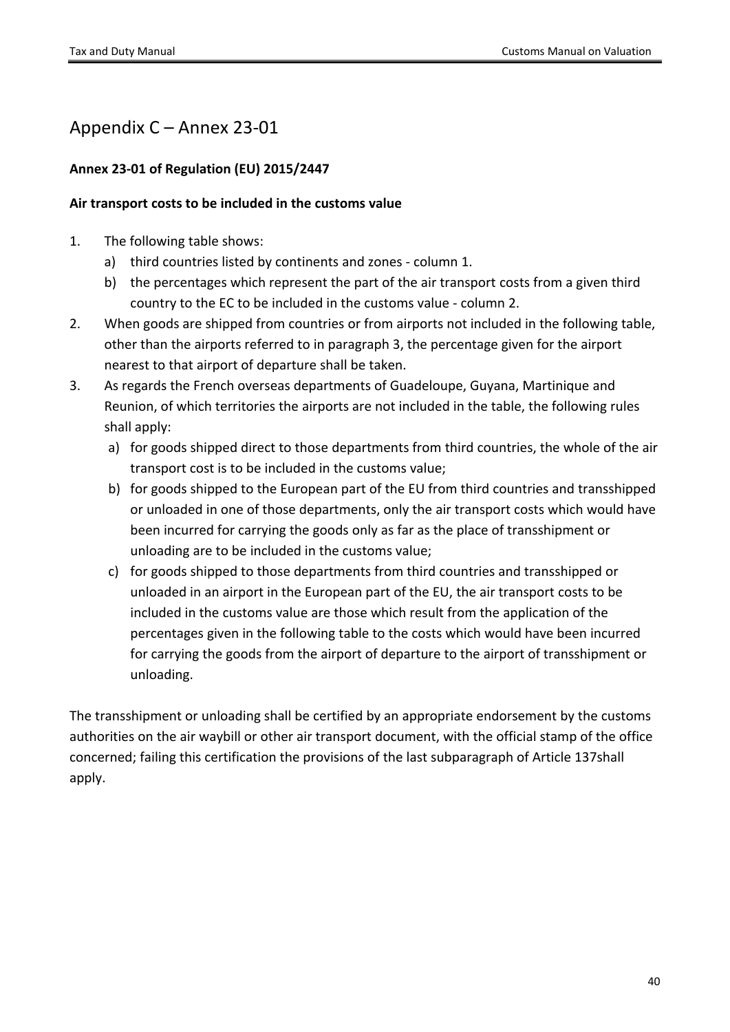## <span id="page-39-0"></span>Appendix C – Annex 23-01

#### **Annex 23-01 of Regulation (EU) 2015/2447**

#### **Air transport costs to be included in the customs value**

- 1. The following table shows:
	- a) third countries listed by continents and zones column 1.
	- b) the percentages which represent the part of the air transport costs from a given third country to the EC to be included in the customs value - column 2.
- 2. When goods are shipped from countries or from airports not included in the following table, other than the airports referred to in paragraph 3, the percentage given for the airport nearest to that airport of departure shall be taken.
- 3. As regards the French overseas departments of Guadeloupe, Guyana, Martinique and Reunion, of which territories the airports are not included in the table, the following rules shall apply:
	- a) for goods shipped direct to those departments from third countries, the whole of the air transport cost is to be included in the customs value;
	- b) for goods shipped to the European part of the EU from third countries and transshipped or unloaded in one of those departments, only the air transport costs which would have been incurred for carrying the goods only as far as the place of transshipment or unloading are to be included in the customs value;
	- c) for goods shipped to those departments from third countries and transshipped or unloaded in an airport in the European part of the EU, the air transport costs to be included in the customs value are those which result from the application of the percentages given in the following table to the costs which would have been incurred for carrying the goods from the airport of departure to the airport of transshipment or unloading.

The transshipment or unloading shall be certified by an appropriate endorsement by the customs authorities on the air waybill or other air transport document, with the official stamp of the office concerned; failing this certification the provisions of the last subparagraph of Article 137shall apply.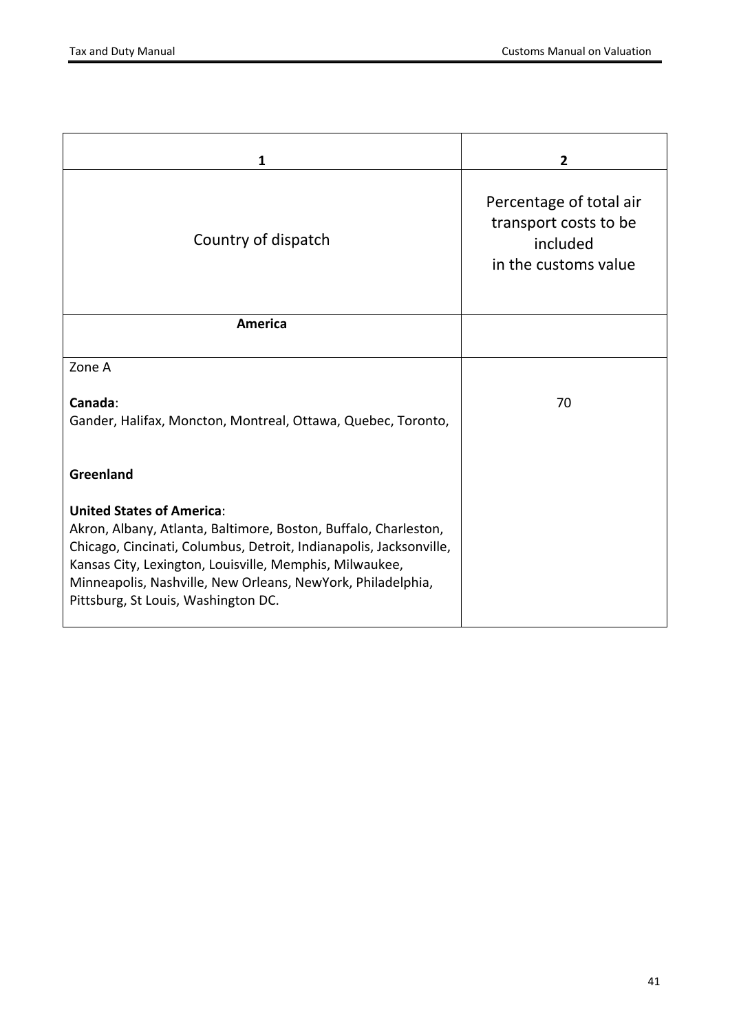| $\mathbf{1}$                                                                                                                                                                                                                                                                                                                               | $\overline{2}$                                                                       |
|--------------------------------------------------------------------------------------------------------------------------------------------------------------------------------------------------------------------------------------------------------------------------------------------------------------------------------------------|--------------------------------------------------------------------------------------|
| Country of dispatch                                                                                                                                                                                                                                                                                                                        | Percentage of total air<br>transport costs to be<br>included<br>in the customs value |
| <b>America</b>                                                                                                                                                                                                                                                                                                                             |                                                                                      |
| Zone A                                                                                                                                                                                                                                                                                                                                     |                                                                                      |
| Canada:<br>Gander, Halifax, Moncton, Montreal, Ottawa, Quebec, Toronto,                                                                                                                                                                                                                                                                    | 70                                                                                   |
| Greenland                                                                                                                                                                                                                                                                                                                                  |                                                                                      |
| <b>United States of America:</b><br>Akron, Albany, Atlanta, Baltimore, Boston, Buffalo, Charleston,<br>Chicago, Cincinati, Columbus, Detroit, Indianapolis, Jacksonville,<br>Kansas City, Lexington, Louisville, Memphis, Milwaukee,<br>Minneapolis, Nashville, New Orleans, NewYork, Philadelphia,<br>Pittsburg, St Louis, Washington DC. |                                                                                      |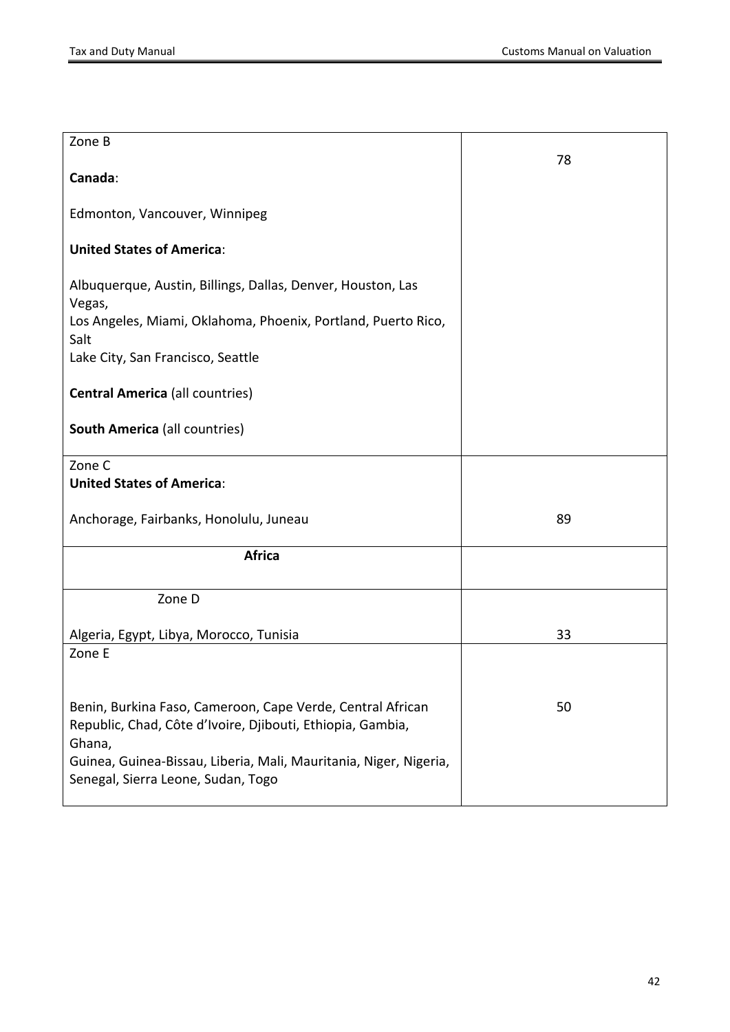| Zone B                                                                                                                                                                                                                                        | 78 |
|-----------------------------------------------------------------------------------------------------------------------------------------------------------------------------------------------------------------------------------------------|----|
| Canada:                                                                                                                                                                                                                                       |    |
| Edmonton, Vancouver, Winnipeg                                                                                                                                                                                                                 |    |
| <b>United States of America:</b>                                                                                                                                                                                                              |    |
| Albuquerque, Austin, Billings, Dallas, Denver, Houston, Las<br>Vegas,<br>Los Angeles, Miami, Oklahoma, Phoenix, Portland, Puerto Rico,<br>Salt                                                                                                |    |
| Lake City, San Francisco, Seattle                                                                                                                                                                                                             |    |
| <b>Central America (all countries)</b>                                                                                                                                                                                                        |    |
| <b>South America (all countries)</b>                                                                                                                                                                                                          |    |
| Zone C<br><b>United States of America:</b>                                                                                                                                                                                                    |    |
| Anchorage, Fairbanks, Honolulu, Juneau                                                                                                                                                                                                        | 89 |
| <b>Africa</b>                                                                                                                                                                                                                                 |    |
| Zone D                                                                                                                                                                                                                                        |    |
| Algeria, Egypt, Libya, Morocco, Tunisia                                                                                                                                                                                                       | 33 |
| Zone E                                                                                                                                                                                                                                        |    |
| Benin, Burkina Faso, Cameroon, Cape Verde, Central African<br>Republic, Chad, Côte d'Ivoire, Djibouti, Ethiopia, Gambia,<br>Ghana,<br>Guinea, Guinea-Bissau, Liberia, Mali, Mauritania, Niger, Nigeria,<br>Senegal, Sierra Leone, Sudan, Togo | 50 |
|                                                                                                                                                                                                                                               |    |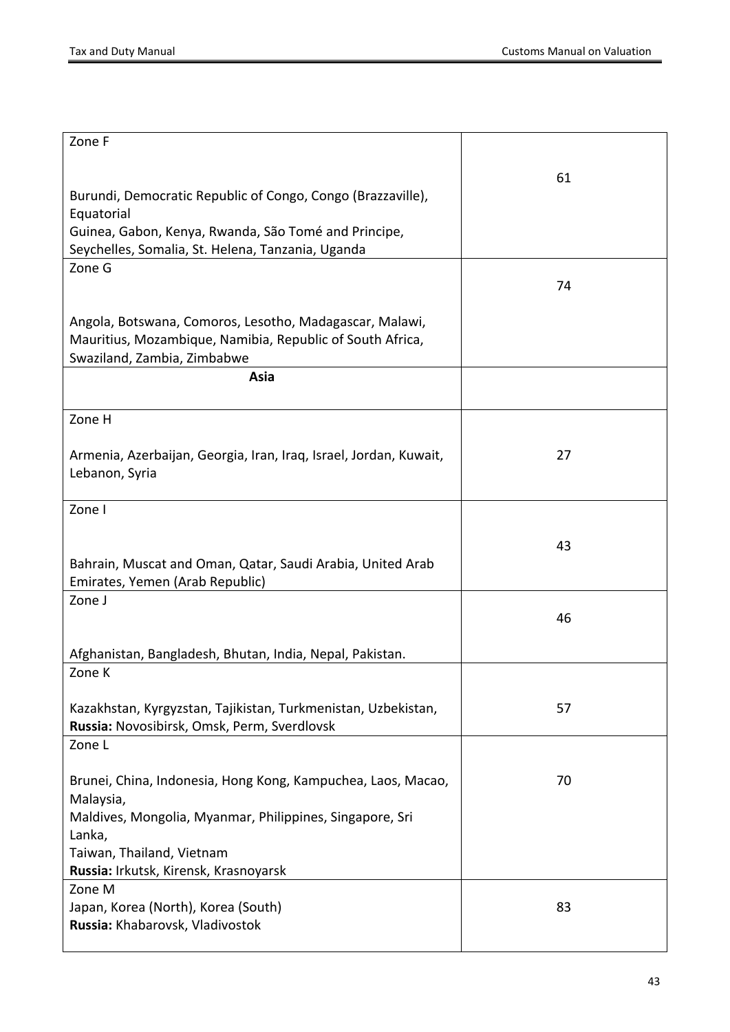| Zone F                                                                                                               |    |
|----------------------------------------------------------------------------------------------------------------------|----|
|                                                                                                                      |    |
|                                                                                                                      | 61 |
| Burundi, Democratic Republic of Congo, Congo (Brazzaville),<br>Equatorial                                            |    |
| Guinea, Gabon, Kenya, Rwanda, São Tomé and Principe,                                                                 |    |
| Seychelles, Somalia, St. Helena, Tanzania, Uganda                                                                    |    |
| Zone G                                                                                                               |    |
|                                                                                                                      | 74 |
|                                                                                                                      |    |
| Angola, Botswana, Comoros, Lesotho, Madagascar, Malawi,<br>Mauritius, Mozambique, Namibia, Republic of South Africa, |    |
| Swaziland, Zambia, Zimbabwe                                                                                          |    |
| Asia                                                                                                                 |    |
|                                                                                                                      |    |
| Zone H                                                                                                               |    |
|                                                                                                                      |    |
| Armenia, Azerbaijan, Georgia, Iran, Iraq, Israel, Jordan, Kuwait,                                                    | 27 |
| Lebanon, Syria                                                                                                       |    |
| Zone I                                                                                                               |    |
|                                                                                                                      |    |
|                                                                                                                      | 43 |
| Bahrain, Muscat and Oman, Qatar, Saudi Arabia, United Arab                                                           |    |
| Emirates, Yemen (Arab Republic)                                                                                      |    |
| Zone J                                                                                                               |    |
|                                                                                                                      | 46 |
| Afghanistan, Bangladesh, Bhutan, India, Nepal, Pakistan.                                                             |    |
| Zone K                                                                                                               |    |
|                                                                                                                      |    |
| Kazakhstan, Kyrgyzstan, Tajikistan, Turkmenistan, Uzbekistan,                                                        | 57 |
| Russia: Novosibirsk, Omsk, Perm, Sverdlovsk                                                                          |    |
| Zone L                                                                                                               |    |
| Brunei, China, Indonesia, Hong Kong, Kampuchea, Laos, Macao,                                                         | 70 |
| Malaysia,                                                                                                            |    |
| Maldives, Mongolia, Myanmar, Philippines, Singapore, Sri                                                             |    |
| Lanka,                                                                                                               |    |
| Taiwan, Thailand, Vietnam                                                                                            |    |
| Russia: Irkutsk, Kirensk, Krasnoyarsk                                                                                |    |
| Zone M                                                                                                               |    |
| Japan, Korea (North), Korea (South)<br>Russia: Khabarovsk, Vladivostok                                               | 83 |
|                                                                                                                      |    |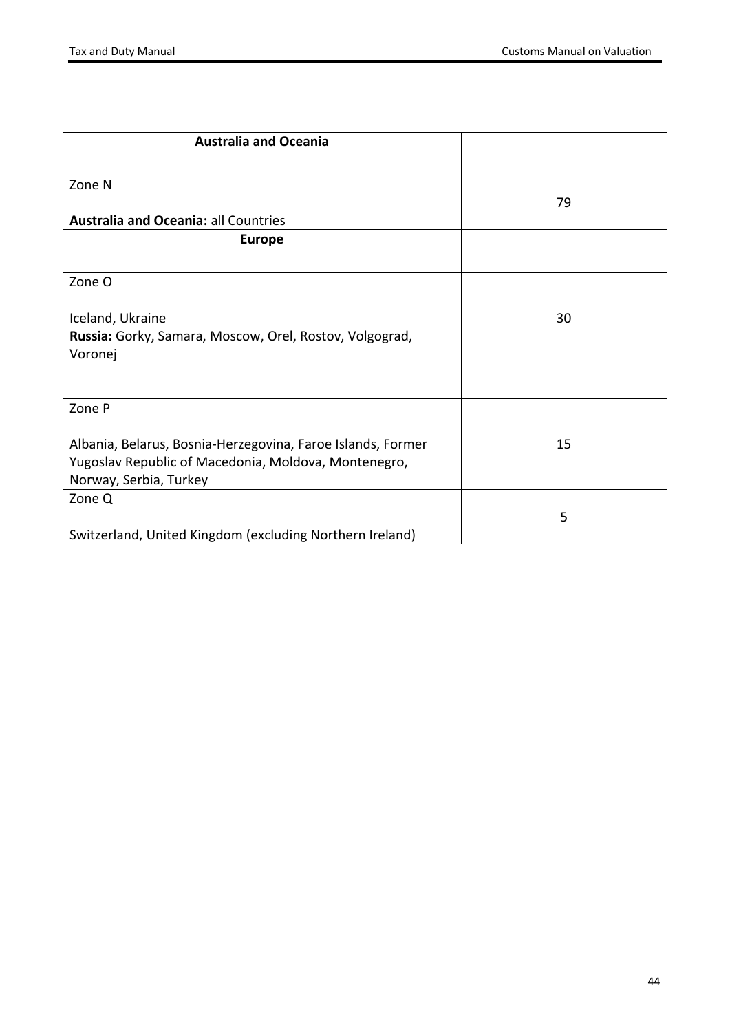| <b>Australia and Oceania</b>                                |    |
|-------------------------------------------------------------|----|
| Zone N                                                      | 79 |
| <b>Australia and Oceania: all Countries</b>                 |    |
| <b>Europe</b>                                               |    |
| Zone O                                                      |    |
| Iceland, Ukraine                                            | 30 |
| Russia: Gorky, Samara, Moscow, Orel, Rostov, Volgograd,     |    |
| Voronej                                                     |    |
| Zone P                                                      |    |
| Albania, Belarus, Bosnia-Herzegovina, Faroe Islands, Former | 15 |
| Yugoslav Republic of Macedonia, Moldova, Montenegro,        |    |
| Norway, Serbia, Turkey                                      |    |
| Zone Q                                                      |    |
|                                                             | 5  |
| Switzerland, United Kingdom (excluding Northern Ireland)    |    |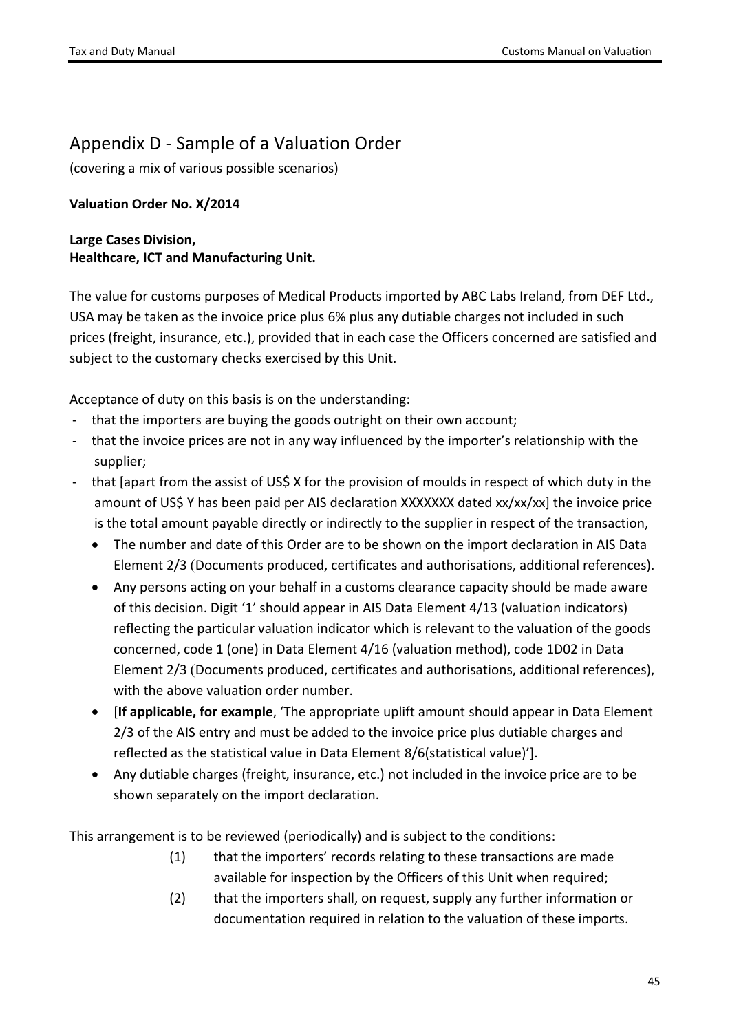## <span id="page-44-0"></span>Appendix D - Sample of a Valuation Order

(covering a mix of various possible scenarios)

#### **Valuation Order No. X/2014**

#### **Large Cases Division, Healthcare, ICT and Manufacturing Unit.**

The value for customs purposes of Medical Products imported by ABC Labs Ireland, from DEF Ltd., USA may be taken as the invoice price plus 6% plus any dutiable charges not included in such prices (freight, insurance, etc.), provided that in each case the Officers concerned are satisfied and subject to the customary checks exercised by this Unit.

Acceptance of duty on this basis is on the understanding:

- that the importers are buying the goods outright on their own account;
- that the invoice prices are not in any way influenced by the importer's relationship with the supplier;
- that [apart from the assist of US\$ X for the provision of moulds in respect of which duty in the amount of US\$ Y has been paid per AIS declaration XXXXXXX dated xx/xx/xx] the invoice price is the total amount payable directly or indirectly to the supplier in respect of the transaction,
	- The number and date of this Order are to be shown on the import declaration in AIS Data Element 2/3 (Documents produced, certificates and authorisations, additional references).
	- Any persons acting on your behalf in a customs clearance capacity should be made aware of this decision. Digit '1' should appear in AIS Data Element 4/13 (valuation indicators) reflecting the particular valuation indicator which is relevant to the valuation of the goods concerned, code 1 (one) in Data Element 4/16 (valuation method), code 1D02 in Data Element 2/3 (Documents produced, certificates and authorisations, additional references), with the above valuation order number.
	- [**If applicable, for example**, 'The appropriate uplift amount should appear in Data Element 2/3 of the AIS entry and must be added to the invoice price plus dutiable charges and reflected as the statistical value in Data Element 8/6(statistical value)'].
	- Any dutiable charges (freight, insurance, etc.) not included in the invoice price are to be shown separately on the import declaration.

This arrangement is to be reviewed (periodically) and is subject to the conditions:

- (1) that the importers' records relating to these transactions are made available for inspection by the Officers of this Unit when required;
- (2) that the importers shall, on request, supply any further information or documentation required in relation to the valuation of these imports.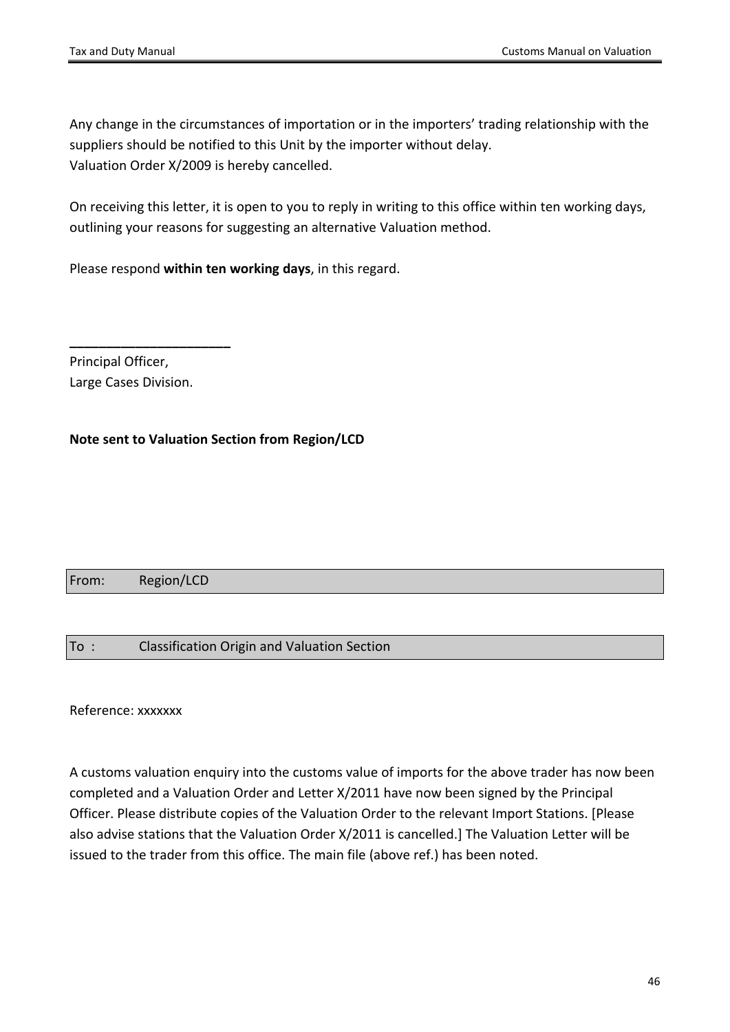Any change in the circumstances of importation or in the importers' trading relationship with the suppliers should be notified to this Unit by the importer without delay. Valuation Order X/2009 is hereby cancelled.

On receiving this letter, it is open to you to reply in writing to this office within ten working days, outlining your reasons for suggesting an alternative Valuation method.

Please respond **within ten working days**, in this regard.

Principal Officer, Large Cases Division.

**\_\_\_\_\_\_\_\_\_\_\_\_\_\_\_\_\_\_\_\_\_\_**

#### **Note sent to Valuation Section from Region/LCD**

#### From: Region/LCD

#### To : Classification Origin and Valuation Section

Reference: xxxxxxx

A customs valuation enquiry into the customs value of imports for the above trader has now been completed and a Valuation Order and Letter X/2011 have now been signed by the Principal Officer. Please distribute copies of the Valuation Order to the relevant Import Stations. [Please also advise stations that the Valuation Order X/2011 is cancelled.] The Valuation Letter will be issued to the trader from this office. The main file (above ref.) has been noted.